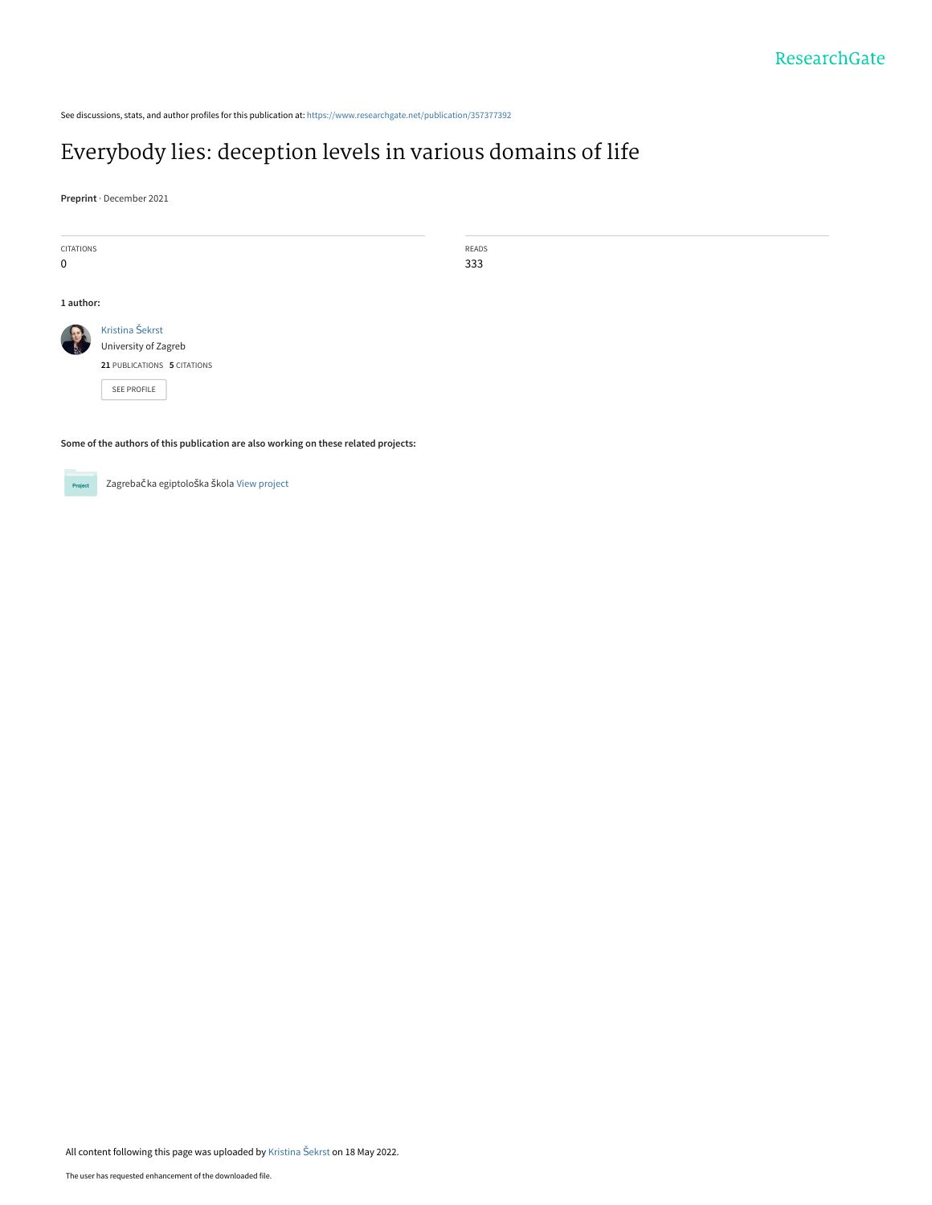See discussions, stats, and author profiles for this publication at: [https://www.researchgate.net/publication/357377392](https://www.researchgate.net/publication/357377392_Everybody_lies_deception_levels_in_various_domains_of_life?enrichId=rgreq-545dc17e09fb3e67b40b4f44635e72da-XXX&enrichSource=Y292ZXJQYWdlOzM1NzM3NzM5MjtBUzoxMTU3MTQyNzIzNzMxNDYwQDE2NTI4OTU3MzI1NjE%3D&el=1_x_2&_esc=publicationCoverPdf)

## [Everybody lies: deception levels in various domains of life](https://www.researchgate.net/publication/357377392_Everybody_lies_deception_levels_in_various_domains_of_life?enrichId=rgreq-545dc17e09fb3e67b40b4f44635e72da-XXX&enrichSource=Y292ZXJQYWdlOzM1NzM3NzM5MjtBUzoxMTU3MTQyNzIzNzMxNDYwQDE2NTI4OTU3MzI1NjE%3D&el=1_x_3&_esc=publicationCoverPdf)

**Preprint** · December 2021

| <b>CITATIONS</b> |                             | READS |
|------------------|-----------------------------|-------|
| $\mathbf 0$      |                             | 333   |
|                  |                             |       |
| 1 author:        |                             |       |
|                  | Kristina Šekrst             |       |
|                  | University of Zagreb        |       |
|                  | 21 PUBLICATIONS 5 CITATIONS |       |
|                  | SEE PROFILE                 |       |
|                  |                             |       |
|                  |                             |       |

**Some of the authors of this publication are also working on these related projects:**



Zagrebačka egiptološka škola [View project](https://www.researchgate.net/project/Zagrebacka-egiptoloska-skola?enrichId=rgreq-545dc17e09fb3e67b40b4f44635e72da-XXX&enrichSource=Y292ZXJQYWdlOzM1NzM3NzM5MjtBUzoxMTU3MTQyNzIzNzMxNDYwQDE2NTI4OTU3MzI1NjE%3D&el=1_x_9&_esc=publicationCoverPdf)

All content following this page was uploaded by [Kristina](https://www.researchgate.net/profile/Kristina-Sekrst?enrichId=rgreq-545dc17e09fb3e67b40b4f44635e72da-XXX&enrichSource=Y292ZXJQYWdlOzM1NzM3NzM5MjtBUzoxMTU3MTQyNzIzNzMxNDYwQDE2NTI4OTU3MzI1NjE%3D&el=1_x_10&_esc=publicationCoverPdf) Šekrst on 18 May 2022.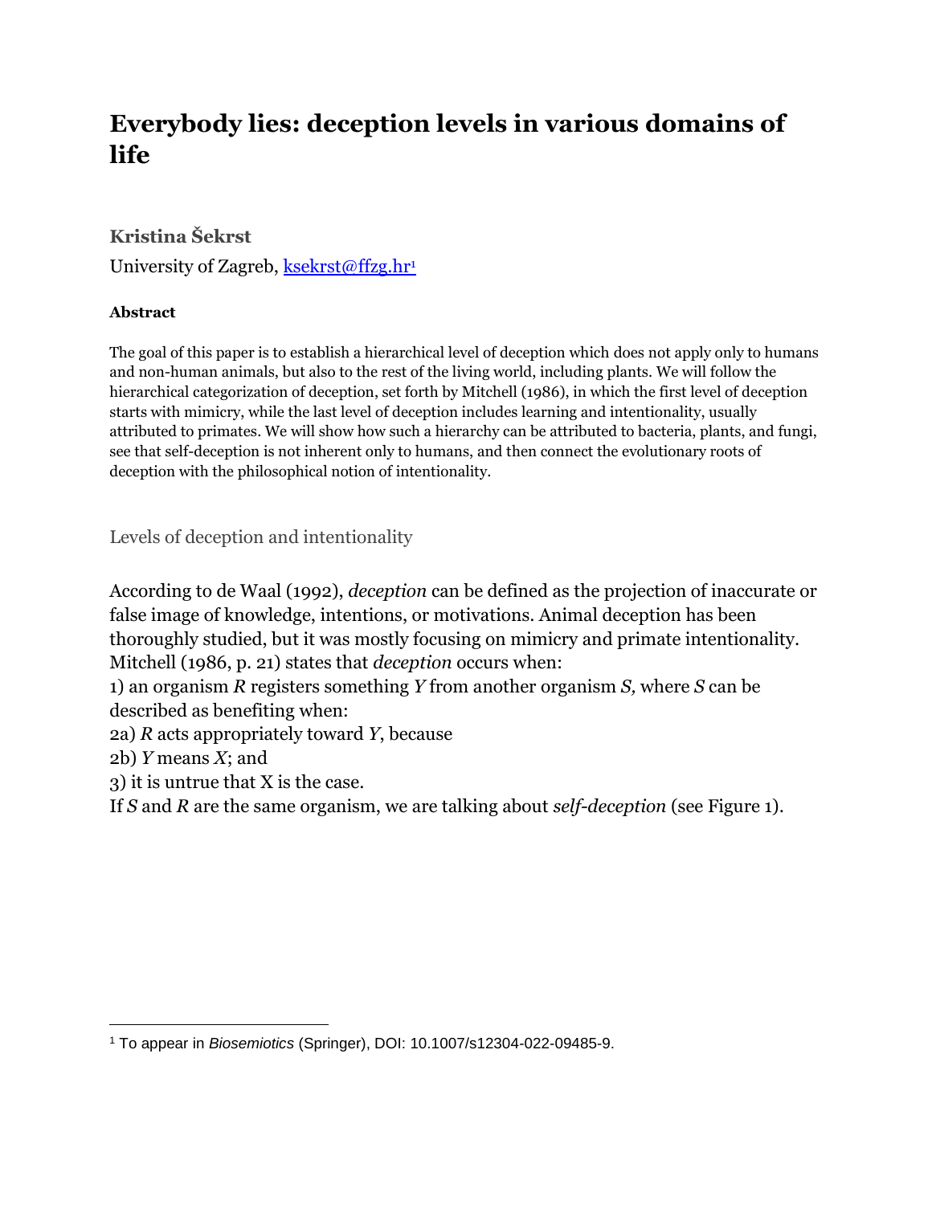# **Everybody lies: deception levels in various domains of life**

#### **Kristina Šekrst**

University of Zagreb, [ksekrst@ffzg.hr](mailto:ksekrst@ffzg.hr)<sup>1</sup>

#### **Abstract**

The goal of this paper is to establish a hierarchical level of deception which does not apply only to humans and non-human animals, but also to the rest of the living world, including plants. We will follow the hierarchical categorization of deception, set forth by Mitchell (1986), in which the first level of deception starts with mimicry, while the last level of deception includes learning and intentionality, usually attributed to primates. We will show how such a hierarchy can be attributed to bacteria, plants, and fungi, see that self-deception is not inherent only to humans, and then connect the evolutionary roots of deception with the philosophical notion of intentionality.

Levels of deception and intentionality

According to de Waal (1992), *deception* can be defined as the projection of inaccurate or false image of knowledge, intentions, or motivations. Animal deception has been thoroughly studied, but it was mostly focusing on mimicry and primate intentionality. Mitchell (1986, p. 21) states that *deception* occurs when:

1) an organism *R* registers something *Y* from another organism *S,* where *S* can be described as benefiting when:

2a) *R* acts appropriately toward *Y*, because

2b) *Y* means *X*; and

3) it is untrue that X is the case.

If *S* and *R* are the same organism, we are talking about *self-deception* (see Figure 1).

<sup>1</sup> To appear in *Biosemiotics* (Springer), DOI: 10.1007/s12304-022-09485-9.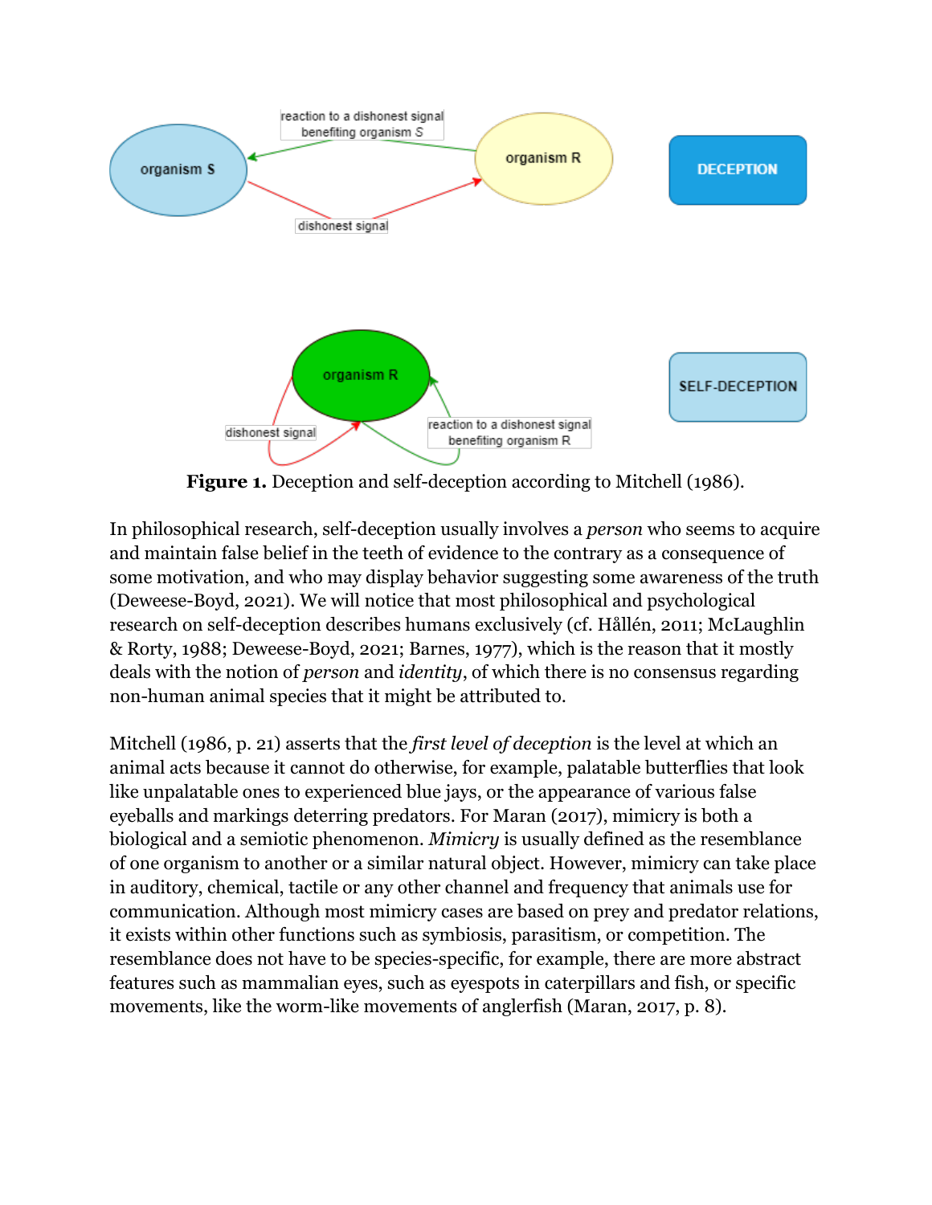

**Figure 1.** Deception and self-deception according to Mitchell (1986).

In philosophical research, self-deception usually involves a *person* who seems to acquire and maintain false belief in the teeth of evidence to the contrary as a consequence of some motivation, and who may display behavior suggesting some awareness of the truth (Deweese-Boyd, 2021). We will notice that most philosophical and psychological research on self-deception describes humans exclusively (cf. Hållén, 2011; McLaughlin & Rorty, 1988; Deweese-Boyd, 2021; Barnes, 1977), which is the reason that it mostly deals with the notion of *person* and *identity*, of which there is no consensus regarding non-human animal species that it might be attributed to.

Mitchell (1986, p. 21) asserts that the *first level of deception* is the level at which an animal acts because it cannot do otherwise, for example, palatable butterflies that look like unpalatable ones to experienced blue jays, or the appearance of various false eyeballs and markings deterring predators. For Maran (2017), mimicry is both a biological and a semiotic phenomenon. *Mimicry* is usually defined as the resemblance of one organism to another or a similar natural object. However, mimicry can take place in auditory, chemical, tactile or any other channel and frequency that animals use for communication. Although most mimicry cases are based on prey and predator relations, it exists within other functions such as symbiosis, parasitism, or competition. The resemblance does not have to be species-specific, for example, there are more abstract features such as mammalian eyes, such as eyespots in caterpillars and fish, or specific movements, like the worm-like movements of anglerfish (Maran, 2017, p. 8).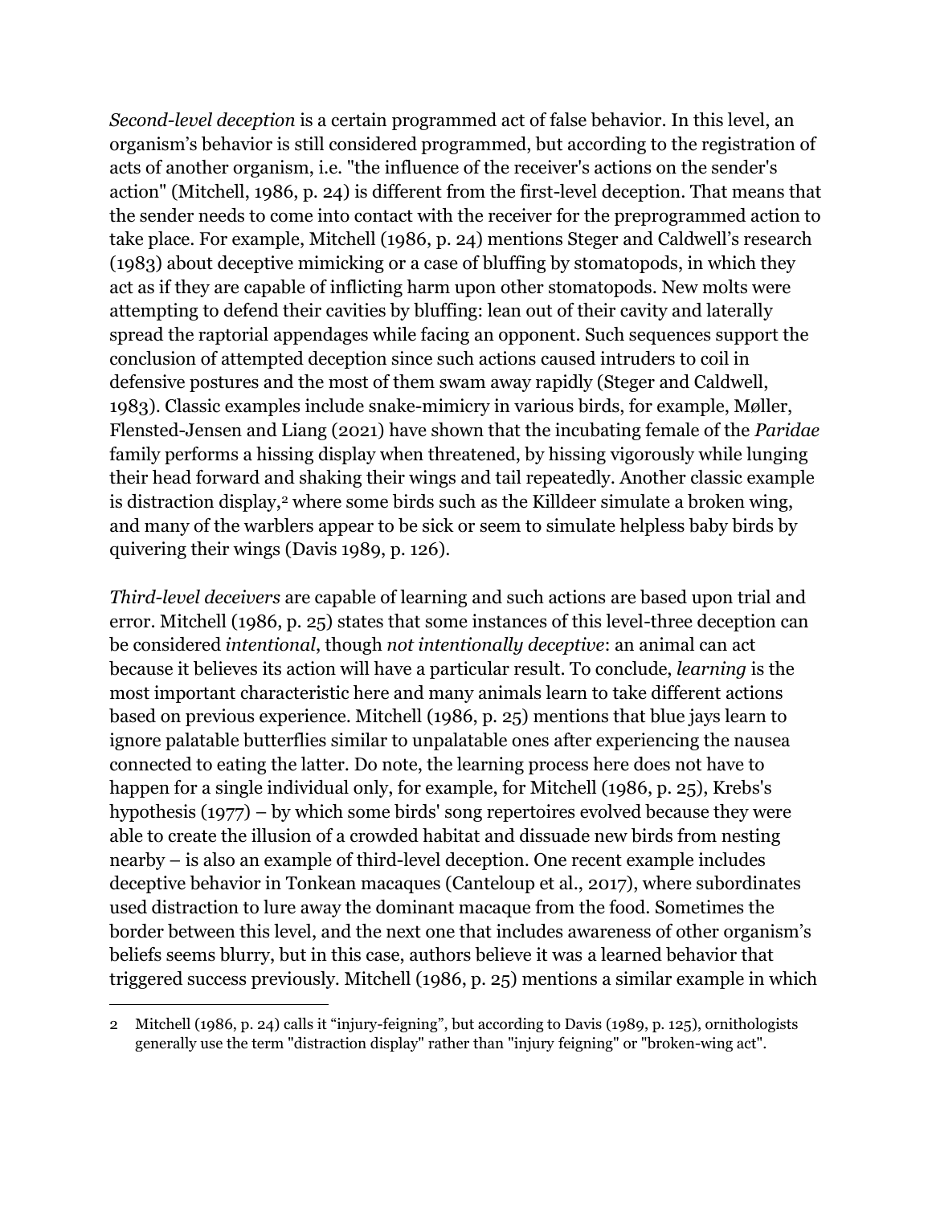*Second-level deception* is a certain programmed act of false behavior. In this level, an organism's behavior is still considered programmed, but according to the registration of acts of another organism, i.e. "the influence of the receiver's actions on the sender's action" (Mitchell, 1986, p. 24) is different from the first-level deception. That means that the sender needs to come into contact with the receiver for the preprogrammed action to take place. For example, Mitchell (1986, p. 24) mentions Steger and Caldwell's research (1983) about deceptive mimicking or a case of bluffing by stomatopods, in which they act as if they are capable of inflicting harm upon other stomatopods. New molts were attempting to defend their cavities by bluffing: lean out of their cavity and laterally spread the raptorial appendages while facing an opponent. Such sequences support the conclusion of attempted deception since such actions caused intruders to coil in defensive postures and the most of them swam away rapidly (Steger and Caldwell, 1983). Classic examples include snake-mimicry in various birds, for example, Møller, Flensted-Jensen and Liang (2021) have shown that the incubating female of the *Paridae* family performs a hissing display when threatened, by hissing vigorously while lunging their head forward and shaking their wings and tail repeatedly. Another classic example is distraction display,<sup>2</sup> where some birds such as the Killdeer simulate a broken wing, and many of the warblers appear to be sick or seem to simulate helpless baby birds by quivering their wings (Davis 1989, p. 126).

*Third-level deceivers* are capable of learning and such actions are based upon trial and error. Mitchell (1986, p. 25) states that some instances of this level-three deception can be considered *intentional*, though *not intentionally deceptive*: an animal can act because it believes its action will have a particular result. To conclude, *learning* is the most important characteristic here and many animals learn to take different actions based on previous experience. Mitchell (1986, p. 25) mentions that blue jays learn to ignore palatable butterflies similar to unpalatable ones after experiencing the nausea connected to eating the latter. Do note, the learning process here does not have to happen for a single individual only, for example, for Mitchell (1986, p. 25), Krebs's hypothesis (1977) – by which some birds' song repertoires evolved because they were able to create the illusion of a crowded habitat and dissuade new birds from nesting nearby – is also an example of third-level deception. One recent example includes deceptive behavior in Tonkean macaques (Canteloup et al., 2017), where subordinates used distraction to lure away the dominant macaque from the food. Sometimes the border between this level, and the next one that includes awareness of other organism's beliefs seems blurry, but in this case, authors believe it was a learned behavior that triggered success previously. Mitchell (1986, p. 25) mentions a similar example in which

<sup>2</sup> Mitchell (1986, p. 24) calls it "injury-feigning", but according to Davis (1989, p. 125), ornithologists generally use the term "distraction display" rather than "injury feigning" or "broken-wing act".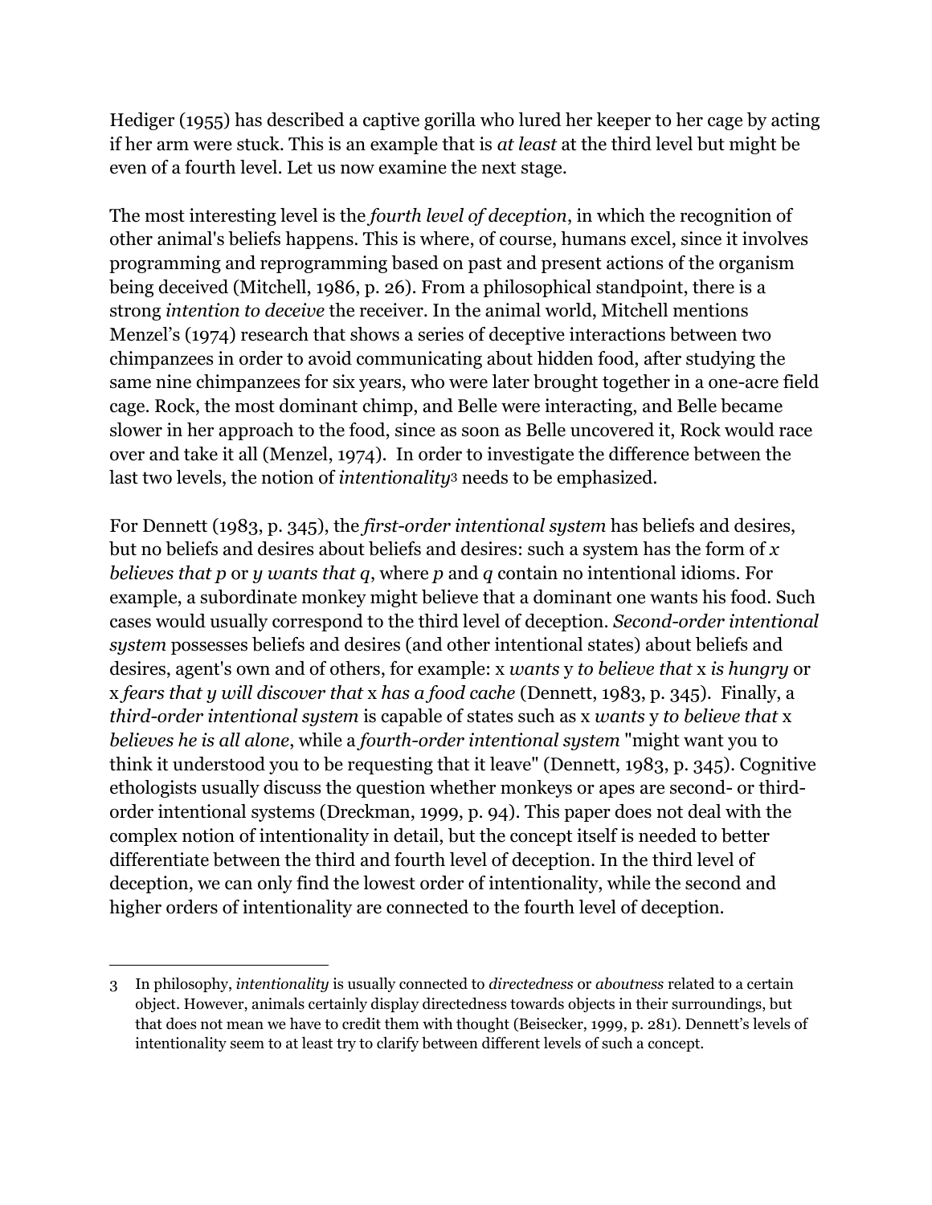Hediger (1955) has described a captive gorilla who lured her keeper to her cage by acting if her arm were stuck. This is an example that is *at least* at the third level but might be even of a fourth level. Let us now examine the next stage.

The most interesting level is the *fourth level of deception*, in which the recognition of other animal's beliefs happens. This is where, of course, humans excel, since it involves programming and reprogramming based on past and present actions of the organism being deceived (Mitchell, 1986, p. 26). From a philosophical standpoint, there is a strong *intention to deceive* the receiver. In the animal world, Mitchell mentions Menzel's (1974) research that shows a series of deceptive interactions between two chimpanzees in order to avoid communicating about hidden food, after studying the same nine chimpanzees for six years, who were later brought together in a one-acre field cage. Rock, the most dominant chimp, and Belle were interacting, and Belle became slower in her approach to the food, since as soon as Belle uncovered it, Rock would race over and take it all (Menzel, 1974). In order to investigate the difference between the last two levels, the notion of *intentionality*<sup>3</sup> needs to be emphasized.

For Dennett (1983, p. 345), the *first-order intentional system* has beliefs and desires, but no beliefs and desires about beliefs and desires: such a system has the form of *x believes that p* or *y wants that q*, where *p* and *q* contain no intentional idioms. For example, a subordinate monkey might believe that a dominant one wants his food. Such cases would usually correspond to the third level of deception. *Second-order intentional system* possesses beliefs and desires (and other intentional states) about beliefs and desires, agent's own and of others, for example: x *wants* y *to believe that* x *is hungry* or x *fears that y will discover that* x *has a food cache* (Dennett, 1983, p. 345). Finally, a *third-order intentional system* is capable of states such as x *wants* y *to believe that* x *believes he is all alone*, while a *fourth-order intentional system* "might want you to think it understood you to be requesting that it leave" (Dennett, 1983, p. 345). Cognitive ethologists usually discuss the question whether monkeys or apes are second- or thirdorder intentional systems (Dreckman, 1999, p. 94). This paper does not deal with the complex notion of intentionality in detail, but the concept itself is needed to better differentiate between the third and fourth level of deception. In the third level of deception, we can only find the lowest order of intentionality, while the second and higher orders of intentionality are connected to the fourth level of deception.

<sup>3</sup> In philosophy, *intentionality* is usually connected to *directedness* or *aboutness* related to a certain object. However, animals certainly display directedness towards objects in their surroundings, but that does not mean we have to credit them with thought (Beisecker, 1999, p. 281). Dennett's levels of intentionality seem to at least try to clarify between different levels of such a concept.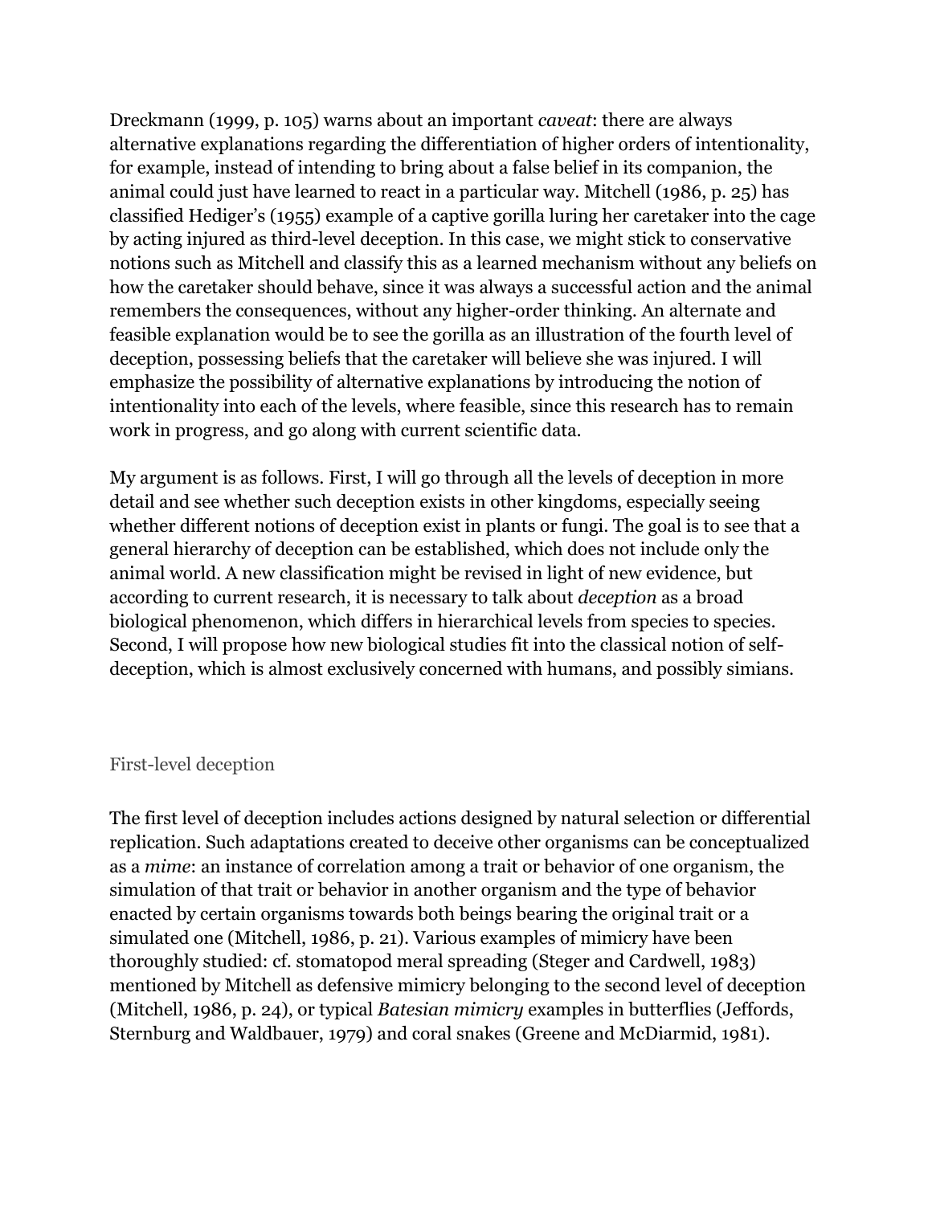Dreckmann (1999, p. 105) warns about an important *caveat*: there are always alternative explanations regarding the differentiation of higher orders of intentionality, for example, instead of intending to bring about a false belief in its companion, the animal could just have learned to react in a particular way. Mitchell (1986, p. 25) has classified Hediger's (1955) example of a captive gorilla luring her caretaker into the cage by acting injured as third-level deception. In this case, we might stick to conservative notions such as Mitchell and classify this as a learned mechanism without any beliefs on how the caretaker should behave, since it was always a successful action and the animal remembers the consequences, without any higher-order thinking. An alternate and feasible explanation would be to see the gorilla as an illustration of the fourth level of deception, possessing beliefs that the caretaker will believe she was injured. I will emphasize the possibility of alternative explanations by introducing the notion of intentionality into each of the levels, where feasible, since this research has to remain work in progress, and go along with current scientific data.

My argument is as follows. First, I will go through all the levels of deception in more detail and see whether such deception exists in other kingdoms, especially seeing whether different notions of deception exist in plants or fungi. The goal is to see that a general hierarchy of deception can be established, which does not include only the animal world. A new classification might be revised in light of new evidence, but according to current research, it is necessary to talk about *deception* as a broad biological phenomenon, which differs in hierarchical levels from species to species. Second, I will propose how new biological studies fit into the classical notion of selfdeception, which is almost exclusively concerned with humans, and possibly simians.

#### First-level deception

The first level of deception includes actions designed by natural selection or differential replication. Such adaptations created to deceive other organisms can be conceptualized as a *mime*: an instance of correlation among a trait or behavior of one organism, the simulation of that trait or behavior in another organism and the type of behavior enacted by certain organisms towards both beings bearing the original trait or a simulated one (Mitchell, 1986, p. 21). Various examples of mimicry have been thoroughly studied: cf. stomatopod meral spreading (Steger and Cardwell, 1983) mentioned by Mitchell as defensive mimicry belonging to the second level of deception (Mitchell, 1986, p. 24), or typical *Batesian mimicry* examples in butterflies (Jeffords, Sternburg and Waldbauer, 1979) and coral snakes (Greene and McDiarmid, 1981).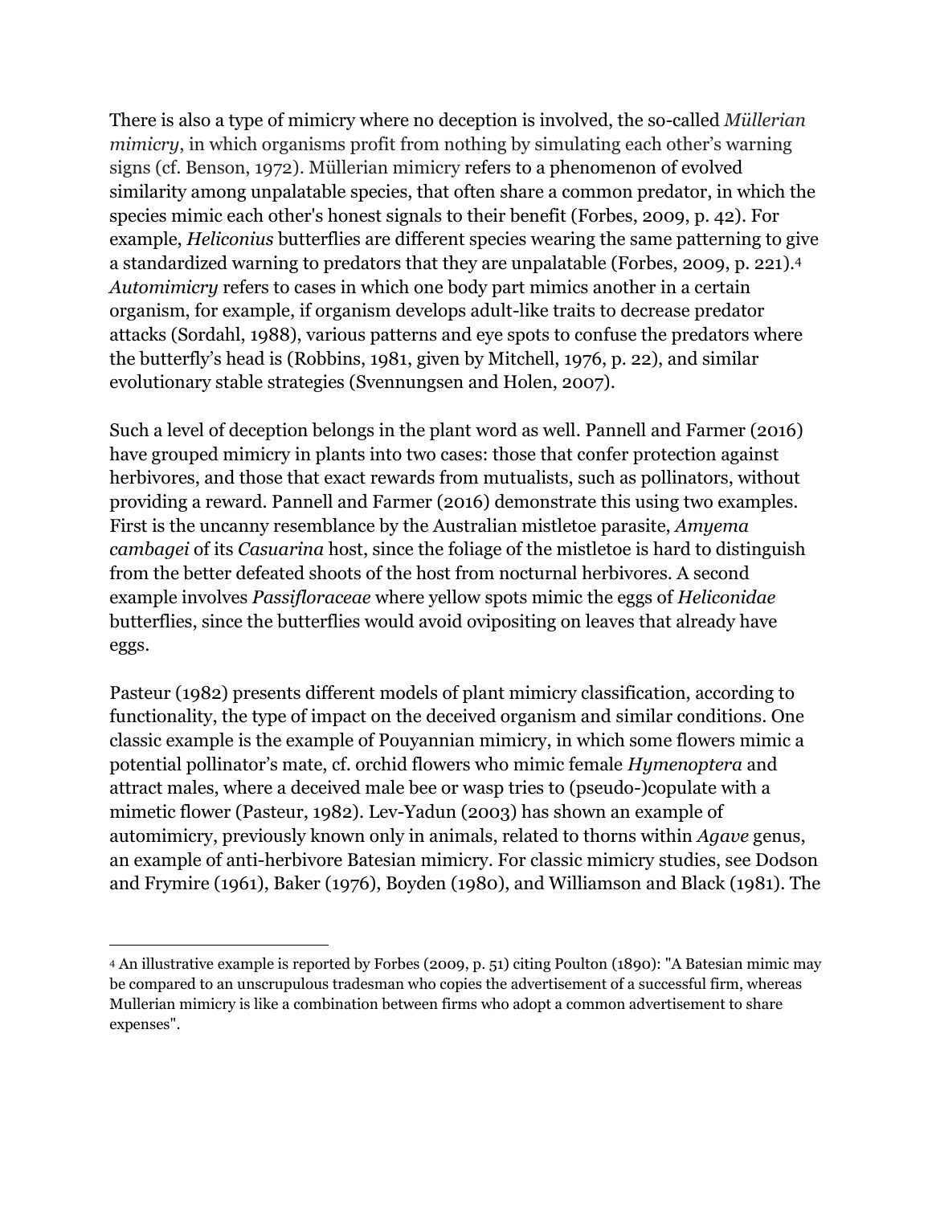There is also a type of mimicry where no deception is involved, the so-called *Müllerian mimicry*, in which organisms profit from nothing by simulating each other's warning signs (cf. Benson, 1972). Müllerian mimicry refers to a phenomenon of evolved similarity among unpalatable species, that often share a common predator, in which the species mimic each other's honest signals to their benefit (Forbes, 2009, p. 42). For example, *Heliconius* butterflies are different species wearing the same patterning to give a standardized warning to predators that they are unpalatable (Forbes, 2009, p. 221). 4 *Automimicry* refers to cases in which one body part mimics another in a certain organism, for example, if organism develops adult-like traits to decrease predator attacks (Sordahl, 1988), various patterns and eye spots to confuse the predators where the butterfly's head is (Robbins, 1981, given by Mitchell, 1976, p. 22), and similar evolutionary stable strategies (Svennungsen and Holen, 2007).

Such a level of deception belongs in the plant word as well. Pannell and Farmer (2016) have grouped mimicry in plants into two cases: those that confer protection against herbivores, and those that exact rewards from mutualists, such as pollinators, without providing a reward. Pannell and Farmer (2016) demonstrate this using two examples. First is the uncanny resemblance by the Australian mistletoe parasite, *Amyema cambagei* of its *Casuarina* host, since the foliage of the mistletoe is hard to distinguish from the better defeated shoots of the host from nocturnal herbivores. A second example involves *Passifloraceae* where yellow spots mimic the eggs of *Heliconidae*  butterflies, since the butterflies would avoid ovipositing on leaves that already have eggs.

Pasteur (1982) presents different models of plant mimicry classification, according to functionality, the type of impact on the deceived organism and similar conditions. One classic example is the example of Pouyannian mimicry, in which some flowers mimic a potential pollinator's mate, cf. orchid flowers who mimic female *Hymenoptera* and attract males, where a deceived male bee or wasp tries to (pseudo-)copulate with a mimetic flower (Pasteur, 1982). Lev-Yadun (2003) has shown an example of automimicry, previously known only in animals, related to thorns within *Agave* genus, an example of anti-herbivore Batesian mimicry. For classic mimicry studies, see Dodson and Frymire (1961), Baker (1976), Boyden (1980), and Williamson and Black (1981). The

<sup>4</sup> An illustrative example is reported by Forbes (2009, p. 51) citing Poulton (1890): "A Batesian mimic may be compared to an unscrupulous tradesman who copies the advertisement of a successful firm, whereas Mullerian mimicry is like a combination between firms who adopt a common advertisement to share expenses".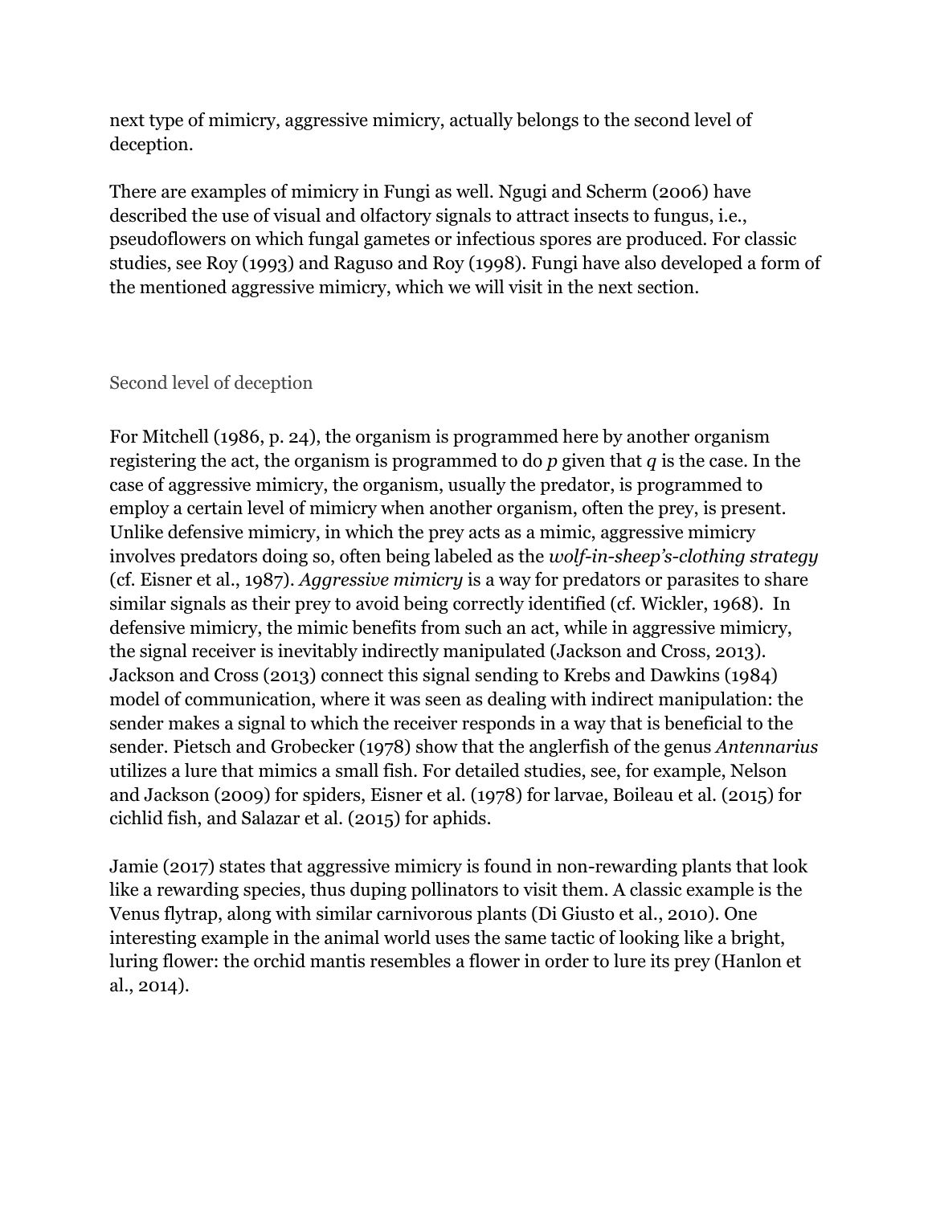next type of mimicry, aggressive mimicry, actually belongs to the second level of deception.

There are examples of mimicry in Fungi as well. Ngugi and Scherm (2006) have described the use of visual and olfactory signals to attract insects to fungus, i.e., pseudoflowers on which fungal gametes or infectious spores are produced. For classic studies, see Roy (1993) and Raguso and Roy (1998). Fungi have also developed a form of the mentioned aggressive mimicry, which we will visit in the next section.

#### Second level of deception

For Mitchell (1986, p. 24), the organism is programmed here by another organism registering the act, the organism is programmed to do *p* given that *q* is the case. In the case of aggressive mimicry, the organism, usually the predator, is programmed to employ a certain level of mimicry when another organism, often the prey, is present. Unlike defensive mimicry, in which the prey acts as a mimic, aggressive mimicry involves predators doing so, often being labeled as the *wolf-in-sheep's-clothing strategy*  (cf. Eisner et al., 1987). *Aggressive mimicry* is a way for predators or parasites to share similar signals as their prey to avoid being correctly identified (cf. Wickler, 1968). In defensive mimicry, the mimic benefits from such an act, while in aggressive mimicry, the signal receiver is inevitably indirectly manipulated (Jackson and Cross, 2013). Jackson and Cross (2013) connect this signal sending to Krebs and Dawkins (1984) model of communication, where it was seen as dealing with indirect manipulation: the sender makes a signal to which the receiver responds in a way that is beneficial to the sender. Pietsch and Grobecker (1978) show that the anglerfish of the genus *Antennarius*  utilizes a lure that mimics a small fish. For detailed studies, see, for example, Nelson and Jackson (2009) for spiders, Eisner et al. (1978) for larvae, Boileau et al. (2015) for cichlid fish, and Salazar et al. (2015) for aphids.

Jamie (2017) states that aggressive mimicry is found in non-rewarding plants that look like a rewarding species, thus duping pollinators to visit them. A classic example is the Venus flytrap, along with similar carnivorous plants (Di Giusto et al., 2010). One interesting example in the animal world uses the same tactic of looking like a bright, luring flower: the orchid mantis resembles a flower in order to lure its prey (Hanlon et al., 2014).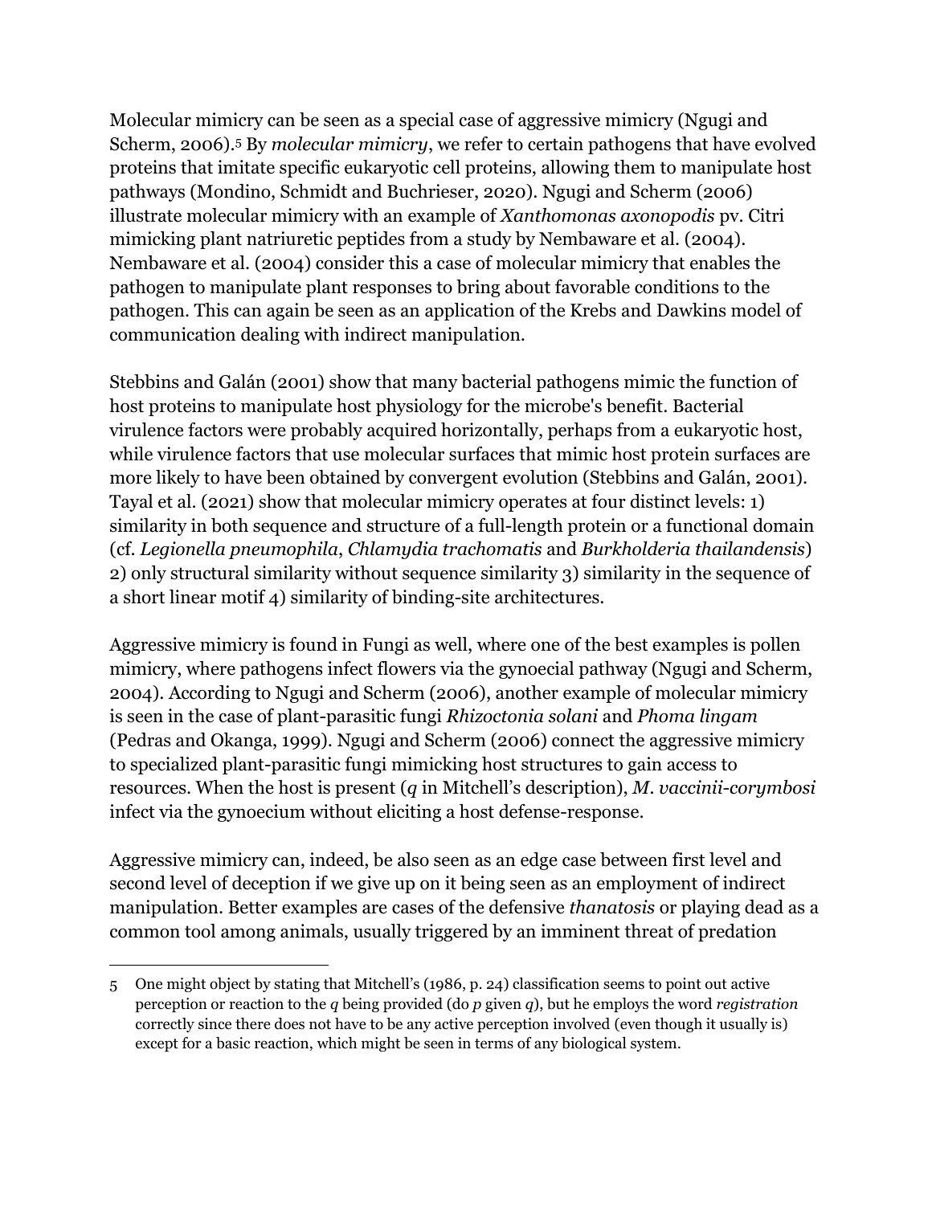Molecular mimicry can be seen as a special case of aggressive mimicry (Ngugi and Scherm, 2006).<sup>5</sup> By *molecular mimicry*, we refer to certain pathogens that have evolved proteins that imitate specific eukaryotic cell proteins, allowing them to manipulate host pathways (Mondino, Schmidt and Buchrieser, 2020). Ngugi and Scherm (2006) illustrate molecular mimicry with an example of *Xanthomonas axonopodis* pv. Citri mimicking plant natriuretic peptides from a study by Nembaware et al. (2004). Nembaware et al. (2004) consider this a case of molecular mimicry that enables the pathogen to manipulate plant responses to bring about favorable conditions to the pathogen. This can again be seen as an application of the Krebs and Dawkins model of communication dealing with indirect manipulation.

Stebbins and Galán (2001) show that many bacterial pathogens mimic the function of host proteins to manipulate host physiology for the microbe's benefit. Bacterial virulence factors were probably acquired horizontally, perhaps from a eukaryotic host, while virulence factors that use molecular surfaces that mimic host protein surfaces are more likely to have been obtained by convergent evolution (Stebbins and Galán, 2001). Tayal et al. (2021) show that molecular mimicry operates at four distinct levels: 1) similarity in both sequence and structure of a full-length protein or a functional domain (cf. *Legionella pneumophila*, *Chlamydia trachomatis* and *Burkholderia thailandensis*) 2) only structural similarity without sequence similarity 3) similarity in the sequence of a short linear motif 4) similarity of binding-site architectures.

Aggressive mimicry is found in Fungi as well, where one of the best examples is pollen mimicry, where pathogens infect flowers via the gynoecial pathway (Ngugi and Scherm, 2004). According to Ngugi and Scherm (2006), another example of molecular mimicry is seen in the case of plant-parasitic fungi *Rhizoctonia solani* and *Phoma lingam* (Pedras and Okanga, 1999). Ngugi and Scherm (2006) connect the aggressive mimicry to specialized plant-parasitic fungi mimicking host structures to gain access to resources. When the host is present (*q* in Mitchell's description), *M. vaccinii-corymbosi* infect via the gynoecium without eliciting a host defense-response.

Aggressive mimicry can, indeed, be also seen as an edge case between first level and second level of deception if we give up on it being seen as an employment of indirect manipulation. Better examples are cases of the defensive *thanatosis* or playing dead as a common tool among animals, usually triggered by an imminent threat of predation

<sup>5</sup> One might object by stating that Mitchell's (1986, p. 24) classification seems to point out active perception or reaction to the *q* being provided (do *p* given *q*), but he employs the word *registration*  correctly since there does not have to be any active perception involved (even though it usually is) except for a basic reaction, which might be seen in terms of any biological system.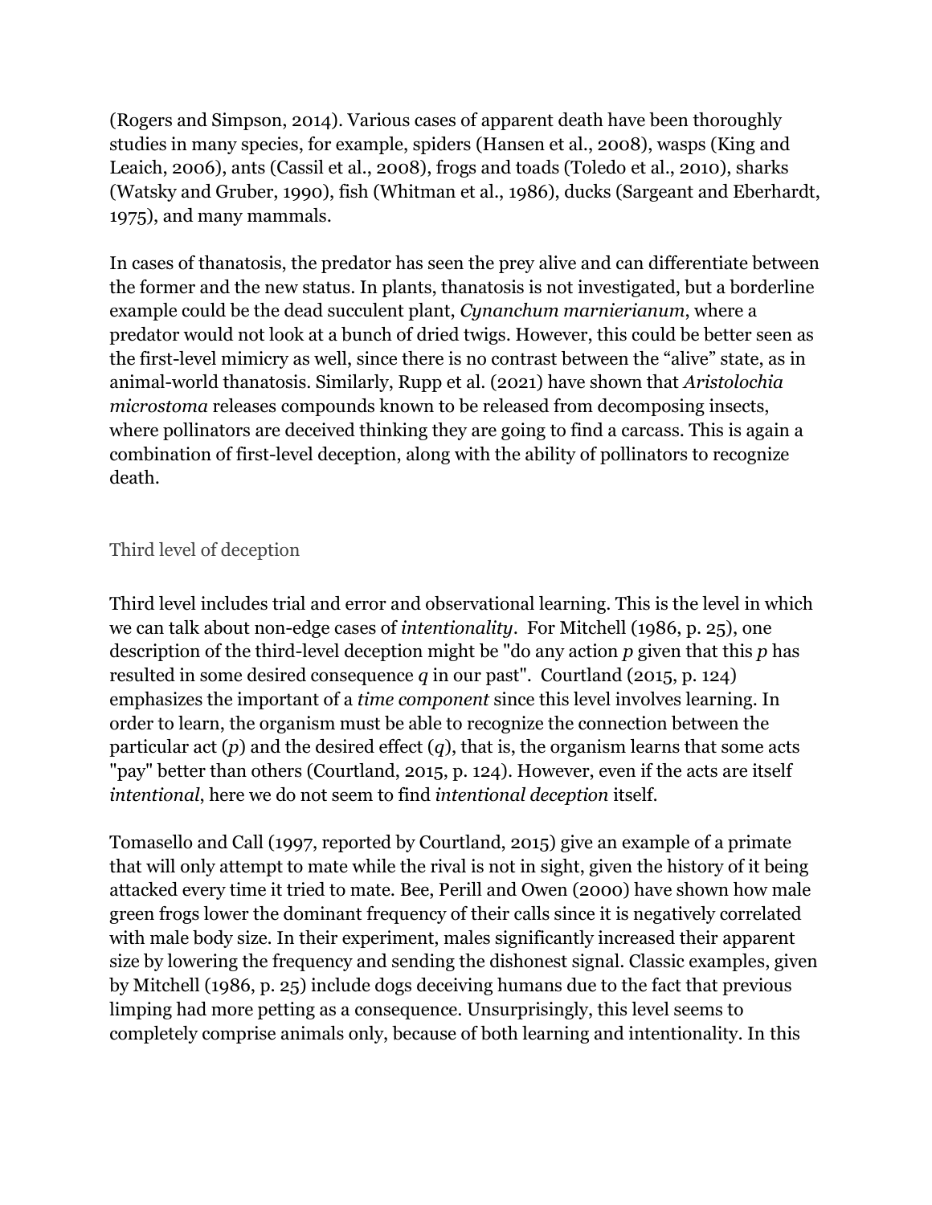(Rogers and Simpson, 2014). Various cases of apparent death have been thoroughly studies in many species, for example, spiders (Hansen et al., 2008), wasps (King and Leaich, 2006), ants (Cassil et al., 2008), frogs and toads (Toledo et al., 2010), sharks (Watsky and Gruber, 1990), fish (Whitman et al., 1986), ducks (Sargeant and Eberhardt, 1975), and many mammals.

In cases of thanatosis, the predator has seen the prey alive and can differentiate between the former and the new status. In plants, thanatosis is not investigated, but a borderline example could be the dead succulent plant, *Cynanchum marnierianum*, where a predator would not look at a bunch of dried twigs. However, this could be better seen as the first-level mimicry as well, since there is no contrast between the "alive" state, as in animal-world thanatosis. Similarly, Rupp et al. (2021) have shown that *Aristolochia microstoma* releases compounds known to be released from decomposing insects, where pollinators are deceived thinking they are going to find a carcass. This is again a combination of first-level deception, along with the ability of pollinators to recognize death.

## Third level of deception

Third level includes trial and error and observational learning. This is the level in which we can talk about non-edge cases of *intentionality*. For Mitchell (1986, p. 25), one description of the third-level deception might be "do any action *p* given that this *p* has resulted in some desired consequence *q* in our past". Courtland (2015, p. 124) emphasizes the important of a *time component* since this level involves learning. In order to learn, the organism must be able to recognize the connection between the particular act  $(p)$  and the desired effect  $(q)$ , that is, the organism learns that some acts "pay" better than others (Courtland, 2015, p. 124). However, even if the acts are itself *intentional*, here we do not seem to find *intentional deception* itself.

Tomasello and Call (1997, reported by Courtland, 2015) give an example of a primate that will only attempt to mate while the rival is not in sight, given the history of it being attacked every time it tried to mate. Bee, Perill and Owen (2000) have shown how male green frogs lower the dominant frequency of their calls since it is negatively correlated with male body size. In their experiment, males significantly increased their apparent size by lowering the frequency and sending the dishonest signal. Classic examples, given by Mitchell (1986, p. 25) include dogs deceiving humans due to the fact that previous limping had more petting as a consequence. Unsurprisingly, this level seems to completely comprise animals only, because of both learning and intentionality. In this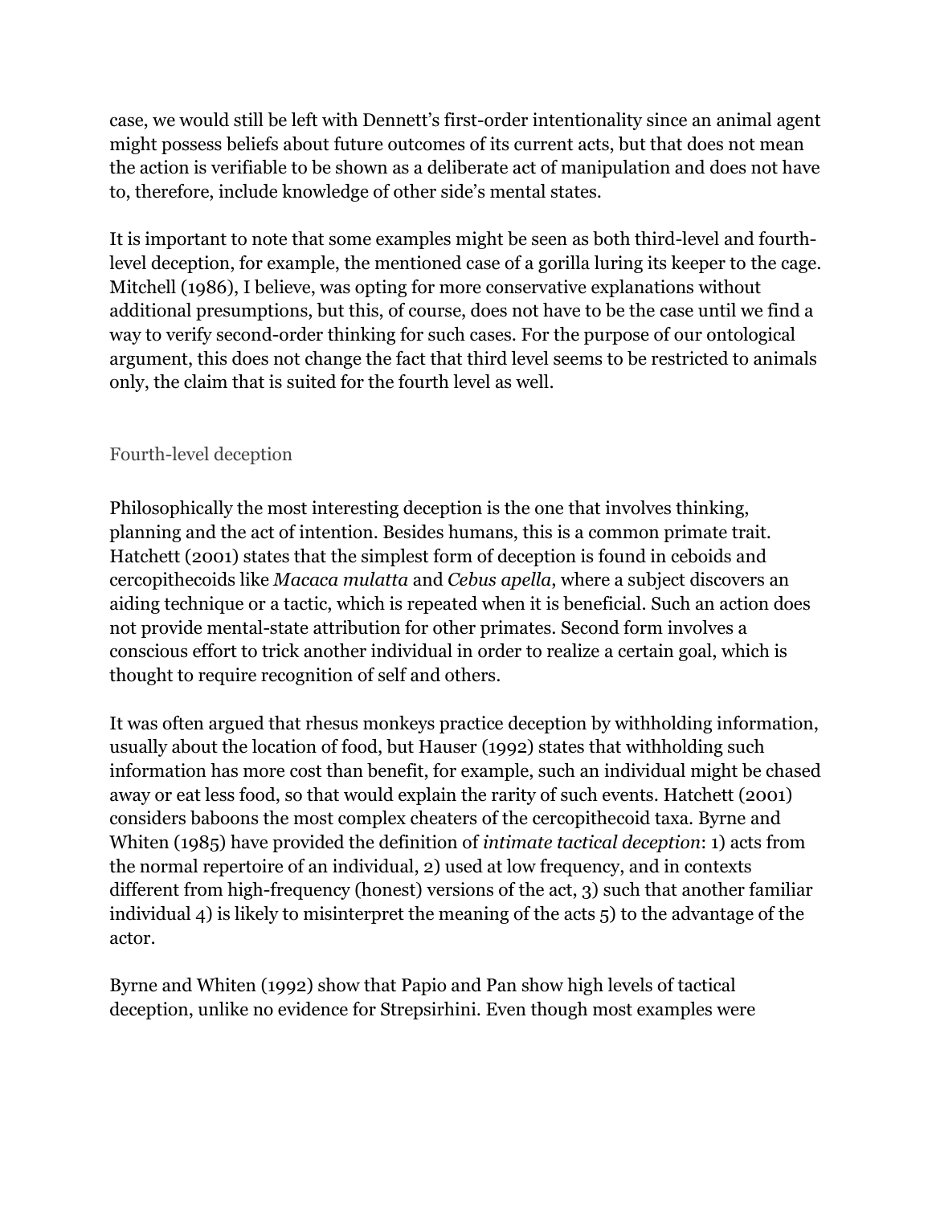case, we would still be left with Dennett's first-order intentionality since an animal agent might possess beliefs about future outcomes of its current acts, but that does not mean the action is verifiable to be shown as a deliberate act of manipulation and does not have to, therefore, include knowledge of other side's mental states.

It is important to note that some examples might be seen as both third-level and fourthlevel deception, for example, the mentioned case of a gorilla luring its keeper to the cage. Mitchell (1986), I believe, was opting for more conservative explanations without additional presumptions, but this, of course, does not have to be the case until we find a way to verify second-order thinking for such cases. For the purpose of our ontological argument, this does not change the fact that third level seems to be restricted to animals only, the claim that is suited for the fourth level as well.

## Fourth-level deception

Philosophically the most interesting deception is the one that involves thinking, planning and the act of intention. Besides humans, this is a common primate trait. Hatchett (2001) states that the simplest form of deception is found in ceboids and cercopithecoids like *Macaca mulatta* and *Cebus apella*, where a subject discovers an aiding technique or a tactic, which is repeated when it is beneficial. Such an action does not provide mental-state attribution for other primates. Second form involves a conscious effort to trick another individual in order to realize a certain goal, which is thought to require recognition of self and others.

It was often argued that rhesus monkeys practice deception by withholding information, usually about the location of food, but Hauser (1992) states that withholding such information has more cost than benefit, for example, such an individual might be chased away or eat less food, so that would explain the rarity of such events. Hatchett (2001) considers baboons the most complex cheaters of the cercopithecoid taxa. Byrne and Whiten (1985) have provided the definition of *intimate tactical deception*: 1) acts from the normal repertoire of an individual, 2) used at low frequency, and in contexts different from high-frequency (honest) versions of the act, 3) such that another familiar individual 4) is likely to misinterpret the meaning of the acts 5) to the advantage of the actor.

Byrne and Whiten (1992) show that Papio and Pan show high levels of tactical deception, unlike no evidence for Strepsirhini. Even though most examples were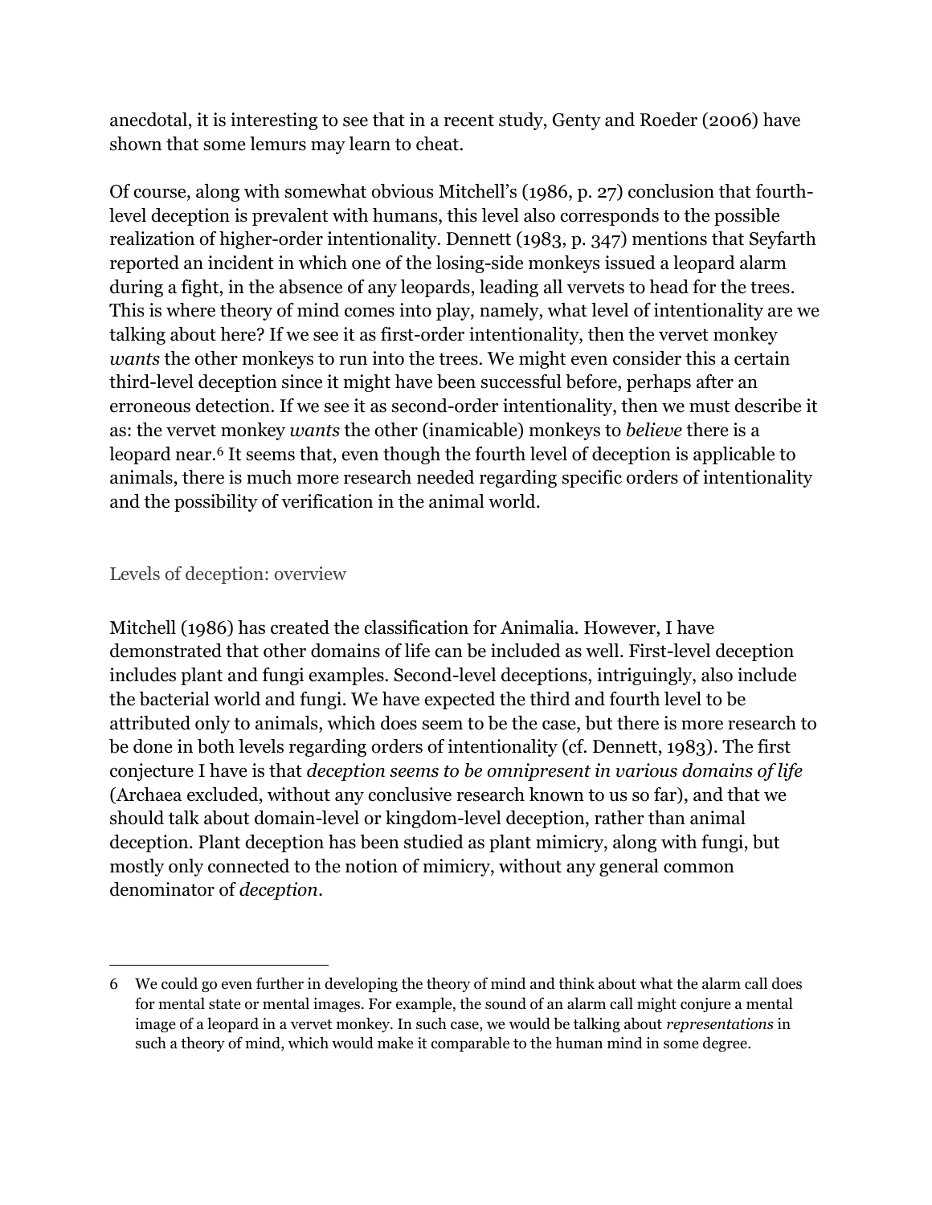anecdotal, it is interesting to see that in a recent study, Genty and Roeder (2006) have shown that some lemurs may learn to cheat.

Of course, along with somewhat obvious Mitchell's (1986, p. 27) conclusion that fourthlevel deception is prevalent with humans, this level also corresponds to the possible realization of higher-order intentionality. Dennett (1983, p. 347) mentions that Seyfarth reported an incident in which one of the losing-side monkeys issued a leopard alarm during a fight, in the absence of any leopards, leading all vervets to head for the trees. This is where theory of mind comes into play, namely, what level of intentionality are we talking about here? If we see it as first-order intentionality, then the vervet monkey *wants* the other monkeys to run into the trees. We might even consider this a certain third-level deception since it might have been successful before, perhaps after an erroneous detection. If we see it as second-order intentionality, then we must describe it as: the vervet monkey *wants* the other (inamicable) monkeys to *believe* there is a leopard near.<sup>6</sup> It seems that, even though the fourth level of deception is applicable to animals, there is much more research needed regarding specific orders of intentionality and the possibility of verification in the animal world.

#### Levels of deception: overview

Mitchell (1986) has created the classification for Animalia. However, I have demonstrated that other domains of life can be included as well. First-level deception includes plant and fungi examples. Second-level deceptions, intriguingly, also include the bacterial world and fungi. We have expected the third and fourth level to be attributed only to animals, which does seem to be the case, but there is more research to be done in both levels regarding orders of intentionality (cf. Dennett, 1983). The first conjecture I have is that *deception seems to be omnipresent in various domains of life* (Archaea excluded, without any conclusive research known to us so far), and that we should talk about domain-level or kingdom-level deception, rather than animal deception. Plant deception has been studied as plant mimicry, along with fungi, but mostly only connected to the notion of mimicry, without any general common denominator of *deception*.

<sup>6</sup> We could go even further in developing the theory of mind and think about what the alarm call does for mental state or mental images. For example, the sound of an alarm call might conjure a mental image of a leopard in a vervet monkey. In such case, we would be talking about *representations* in such a theory of mind, which would make it comparable to the human mind in some degree.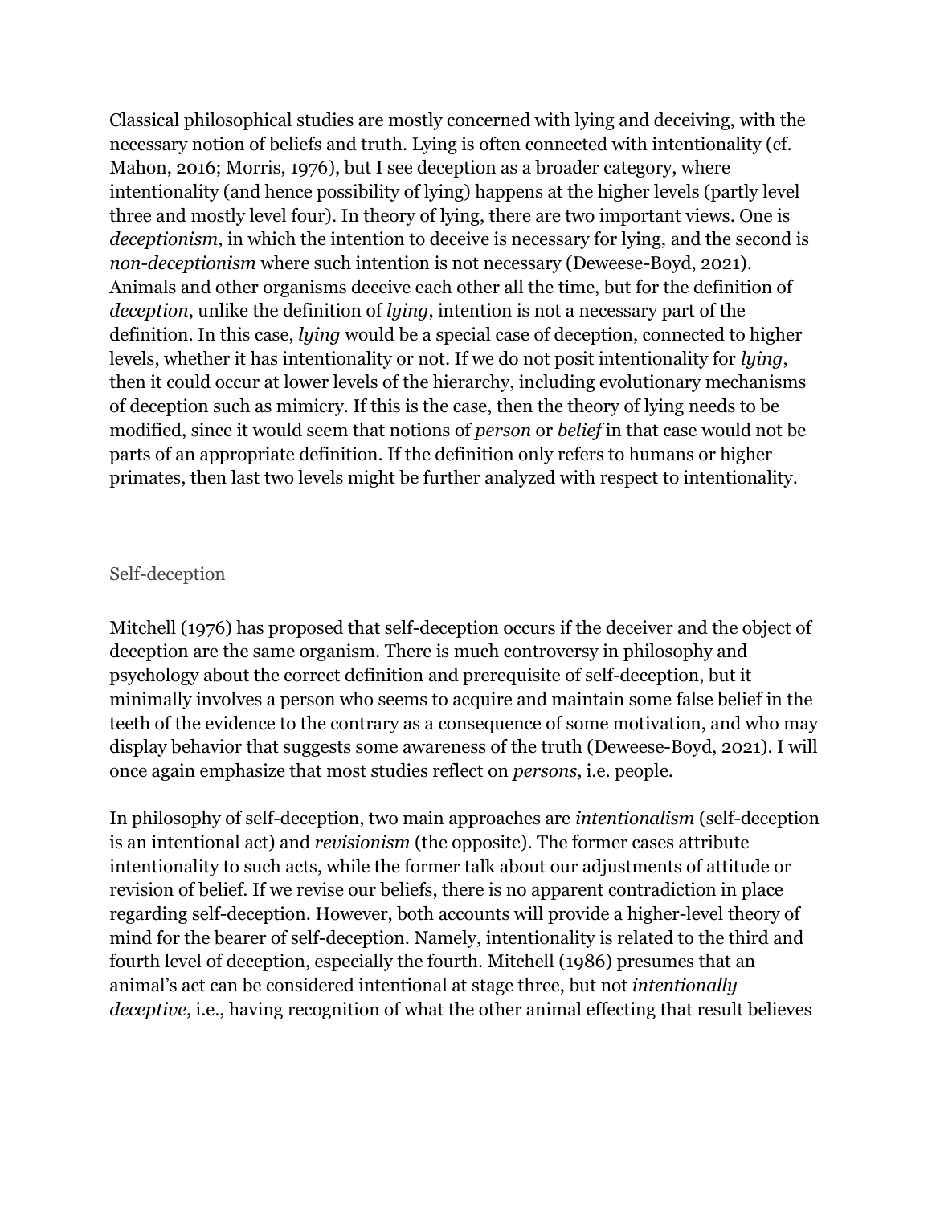Classical philosophical studies are mostly concerned with lying and deceiving, with the necessary notion of beliefs and truth. Lying is often connected with intentionality (cf. Mahon, 2016; Morris, 1976), but I see deception as a broader category, where intentionality (and hence possibility of lying) happens at the higher levels (partly level three and mostly level four). In theory of lying, there are two important views. One is *deceptionism*, in which the intention to deceive is necessary for lying, and the second is *non-deceptionism* where such intention is not necessary (Deweese-Boyd, 2021). Animals and other organisms deceive each other all the time, but for the definition of *deception*, unlike the definition of *lying*, intention is not a necessary part of the definition. In this case, *lying* would be a special case of deception, connected to higher levels, whether it has intentionality or not. If we do not posit intentionality for *lying*, then it could occur at lower levels of the hierarchy, including evolutionary mechanisms of deception such as mimicry. If this is the case, then the theory of lying needs to be modified, since it would seem that notions of *person* or *belief* in that case would not be parts of an appropriate definition. If the definition only refers to humans or higher primates, then last two levels might be further analyzed with respect to intentionality.

#### Self-deception

Mitchell (1976) has proposed that self-deception occurs if the deceiver and the object of deception are the same organism. There is much controversy in philosophy and psychology about the correct definition and prerequisite of self-deception, but it minimally involves a person who seems to acquire and maintain some false belief in the teeth of the evidence to the contrary as a consequence of some motivation, and who may display behavior that suggests some awareness of the truth (Deweese-Boyd, 2021). I will once again emphasize that most studies reflect on *persons*, i.e. people.

In philosophy of self-deception, two main approaches are *intentionalism* (self-deception is an intentional act) and *revisionism* (the opposite). The former cases attribute intentionality to such acts, while the former talk about our adjustments of attitude or revision of belief. If we revise our beliefs, there is no apparent contradiction in place regarding self-deception. However, both accounts will provide a higher-level theory of mind for the bearer of self-deception. Namely, intentionality is related to the third and fourth level of deception, especially the fourth. Mitchell (1986) presumes that an animal's act can be considered intentional at stage three, but not *intentionally deceptive*, i.e., having recognition of what the other animal effecting that result believes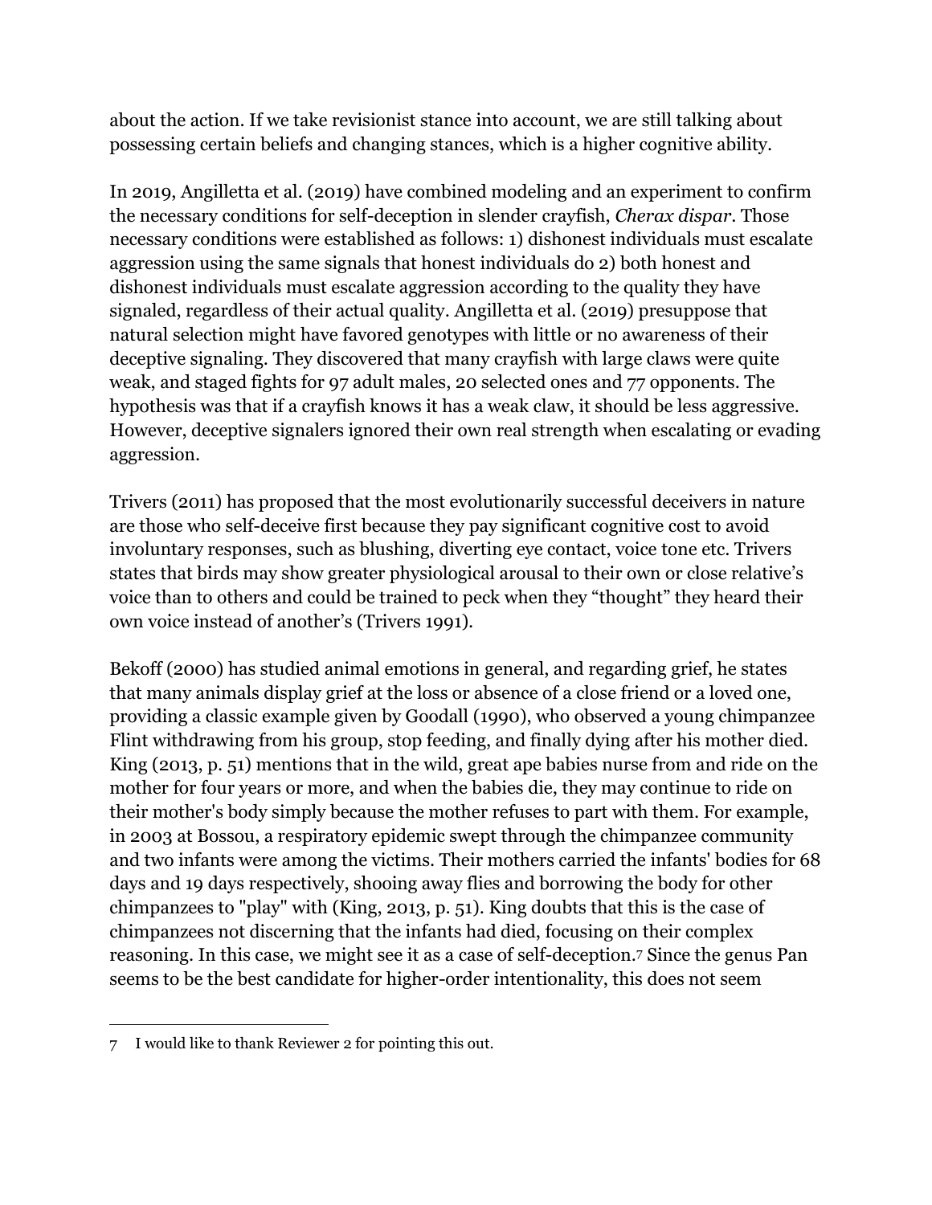about the action. If we take revisionist stance into account, we are still talking about possessing certain beliefs and changing stances, which is a higher cognitive ability.

In 2019, Angilletta et al. (2019) have combined modeling and an experiment to confirm the necessary conditions for self-deception in slender crayfish, *Cherax dispar*. Those necessary conditions were established as follows: 1) dishonest individuals must escalate aggression using the same signals that honest individuals do 2) both honest and dishonest individuals must escalate aggression according to the quality they have signaled, regardless of their actual quality. Angilletta et al. (2019) presuppose that natural selection might have favored genotypes with little or no awareness of their deceptive signaling. They discovered that many crayfish with large claws were quite weak, and staged fights for 97 adult males, 20 selected ones and 77 opponents. The hypothesis was that if a crayfish knows it has a weak claw, it should be less aggressive. However, deceptive signalers ignored their own real strength when escalating or evading aggression.

Trivers (2011) has proposed that the most evolutionarily successful deceivers in nature are those who self-deceive first because they pay significant cognitive cost to avoid involuntary responses, such as blushing, diverting eye contact, voice tone etc. Trivers states that birds may show greater physiological arousal to their own or close relative's voice than to others and could be trained to peck when they "thought" they heard their own voice instead of another's (Trivers 1991).

Bekoff (2000) has studied animal emotions in general, and regarding grief, he states that many animals display grief at the loss or absence of a close friend or a loved one, providing a classic example given by Goodall (1990), who observed a young chimpanzee Flint withdrawing from his group, stop feeding, and finally dying after his mother died. King (2013, p. 51) mentions that in the wild, great ape babies nurse from and ride on the mother for four years or more, and when the babies die, they may continue to ride on their mother's body simply because the mother refuses to part with them. For example, in 2003 at Bossou, a respiratory epidemic swept through the chimpanzee community and two infants were among the victims. Their mothers carried the infants' bodies for 68 days and 19 days respectively, shooing away flies and borrowing the body for other chimpanzees to "play" with (King, 2013, p. 51). King doubts that this is the case of chimpanzees not discerning that the infants had died, focusing on their complex reasoning. In this case, we might see it as a case of self-deception.<sup>7</sup> Since the genus Pan seems to be the best candidate for higher-order intentionality, this does not seem

<sup>7</sup> I would like to thank Reviewer 2 for pointing this out.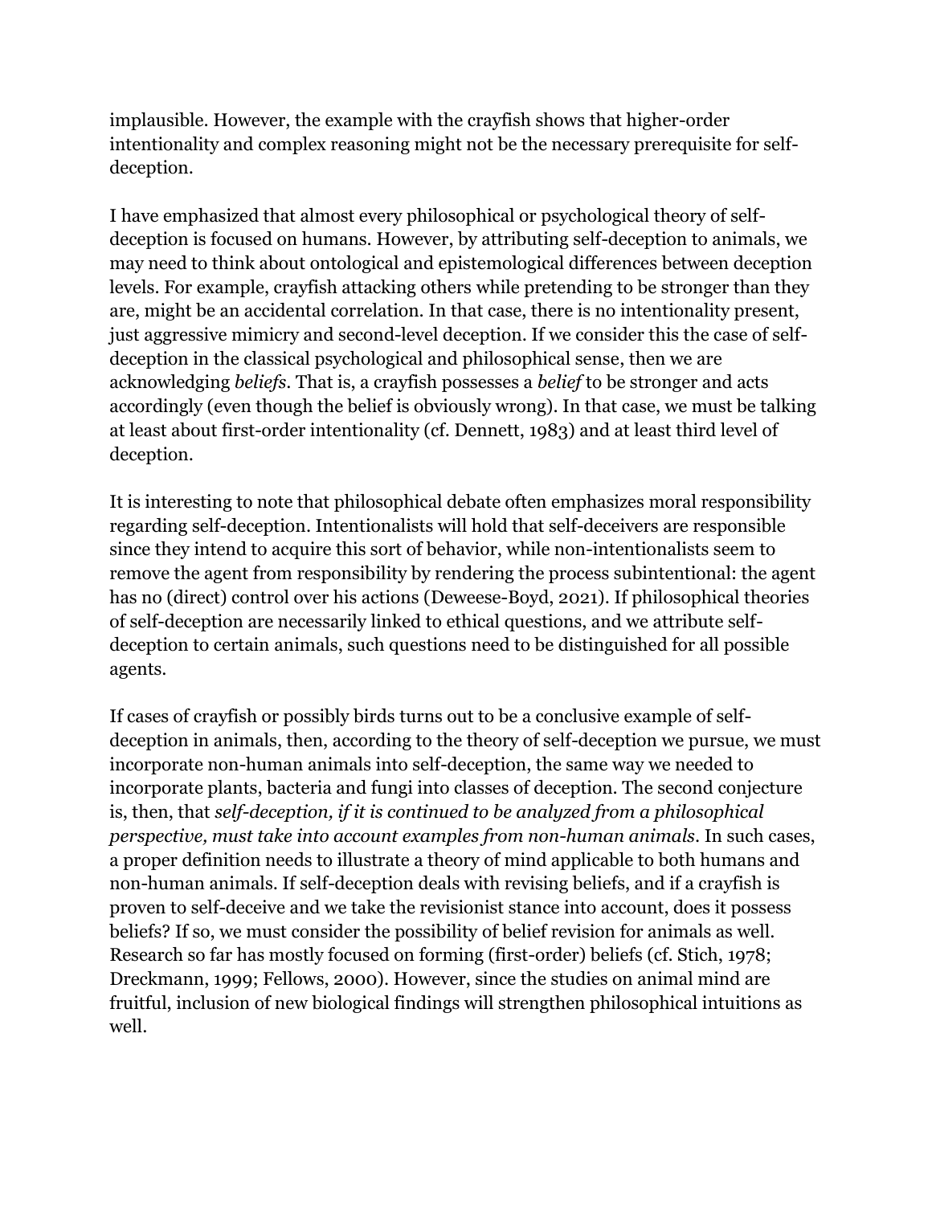implausible. However, the example with the crayfish shows that higher-order intentionality and complex reasoning might not be the necessary prerequisite for selfdeception.

I have emphasized that almost every philosophical or psychological theory of selfdeception is focused on humans. However, by attributing self-deception to animals, we may need to think about ontological and epistemological differences between deception levels. For example, crayfish attacking others while pretending to be stronger than they are, might be an accidental correlation. In that case, there is no intentionality present, just aggressive mimicry and second-level deception. If we consider this the case of selfdeception in the classical psychological and philosophical sense, then we are acknowledging *beliefs*. That is, a crayfish possesses a *belief* to be stronger and acts accordingly (even though the belief is obviously wrong). In that case, we must be talking at least about first-order intentionality (cf. Dennett, 1983) and at least third level of deception.

It is interesting to note that philosophical debate often emphasizes moral responsibility regarding self-deception. Intentionalists will hold that self-deceivers are responsible since they intend to acquire this sort of behavior, while non-intentionalists seem to remove the agent from responsibility by rendering the process subintentional: the agent has no (direct) control over his actions (Deweese-Boyd, 2021). If philosophical theories of self-deception are necessarily linked to ethical questions, and we attribute selfdeception to certain animals, such questions need to be distinguished for all possible agents.

If cases of crayfish or possibly birds turns out to be a conclusive example of selfdeception in animals, then, according to the theory of self-deception we pursue, we must incorporate non-human animals into self-deception, the same way we needed to incorporate plants, bacteria and fungi into classes of deception. The second conjecture is, then, that *self-deception, if it is continued to be analyzed from a philosophical perspective, must take into account examples from non-human animals*. In such cases, a proper definition needs to illustrate a theory of mind applicable to both humans and non-human animals. If self-deception deals with revising beliefs, and if a crayfish is proven to self-deceive and we take the revisionist stance into account, does it possess beliefs? If so, we must consider the possibility of belief revision for animals as well. Research so far has mostly focused on forming (first-order) beliefs (cf. Stich, 1978; Dreckmann, 1999; Fellows, 2000). However, since the studies on animal mind are fruitful, inclusion of new biological findings will strengthen philosophical intuitions as well.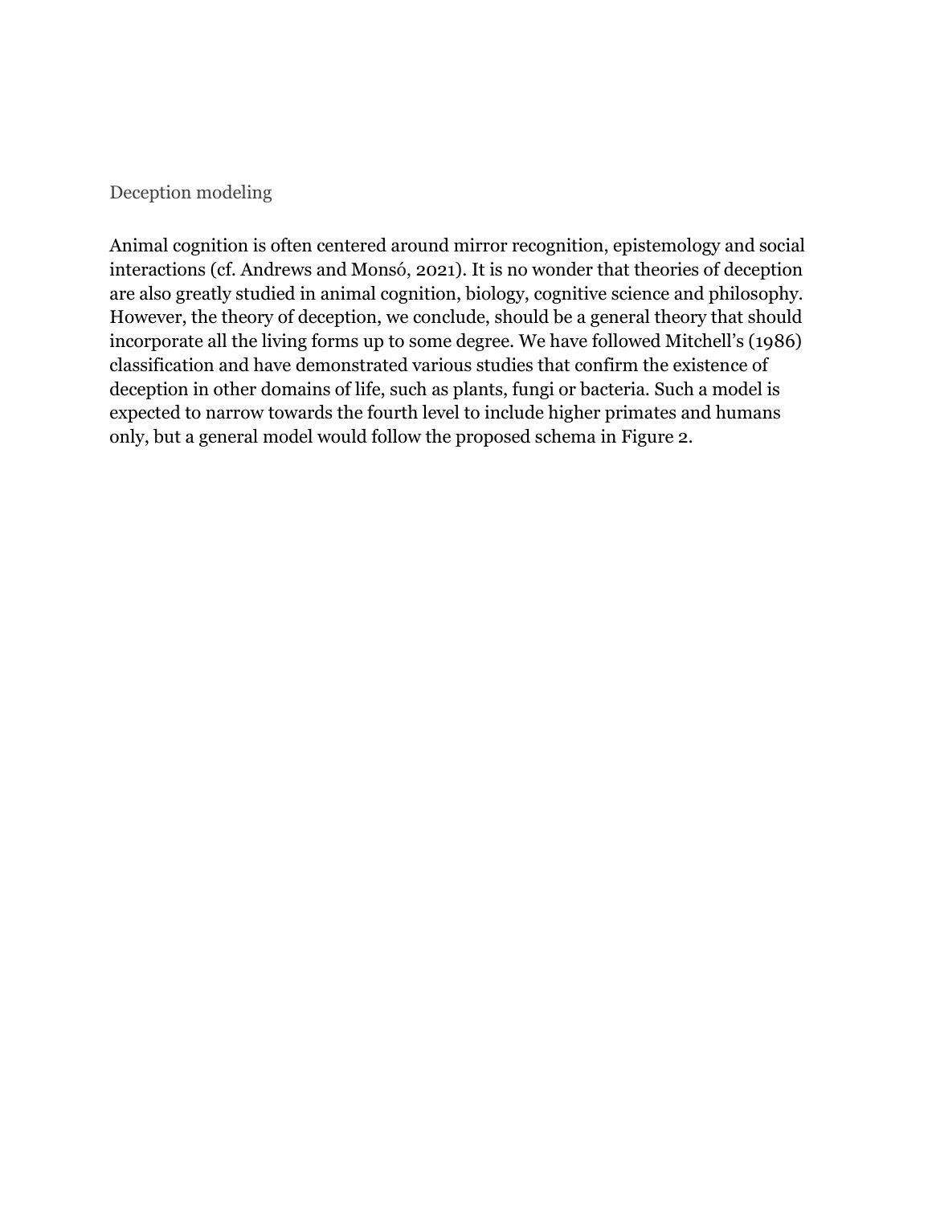#### Deception modeling

Animal cognition is often centered around mirror recognition, epistemology and social interactions (cf. Andrews and Monsó, 2021). It is no wonder that theories of deception are also greatly studied in animal cognition, biology, cognitive science and philosophy. However, the theory of deception, we conclude, should be a general theory that should incorporate all the living forms up to some degree. We have followed Mitchell's (1986) classification and have demonstrated various studies that confirm the existence of deception in other domains of life, such as plants, fungi or bacteria. Such a model is expected to narrow towards the fourth level to include higher primates and humans only, but a general model would follow the proposed schema in Figure 2.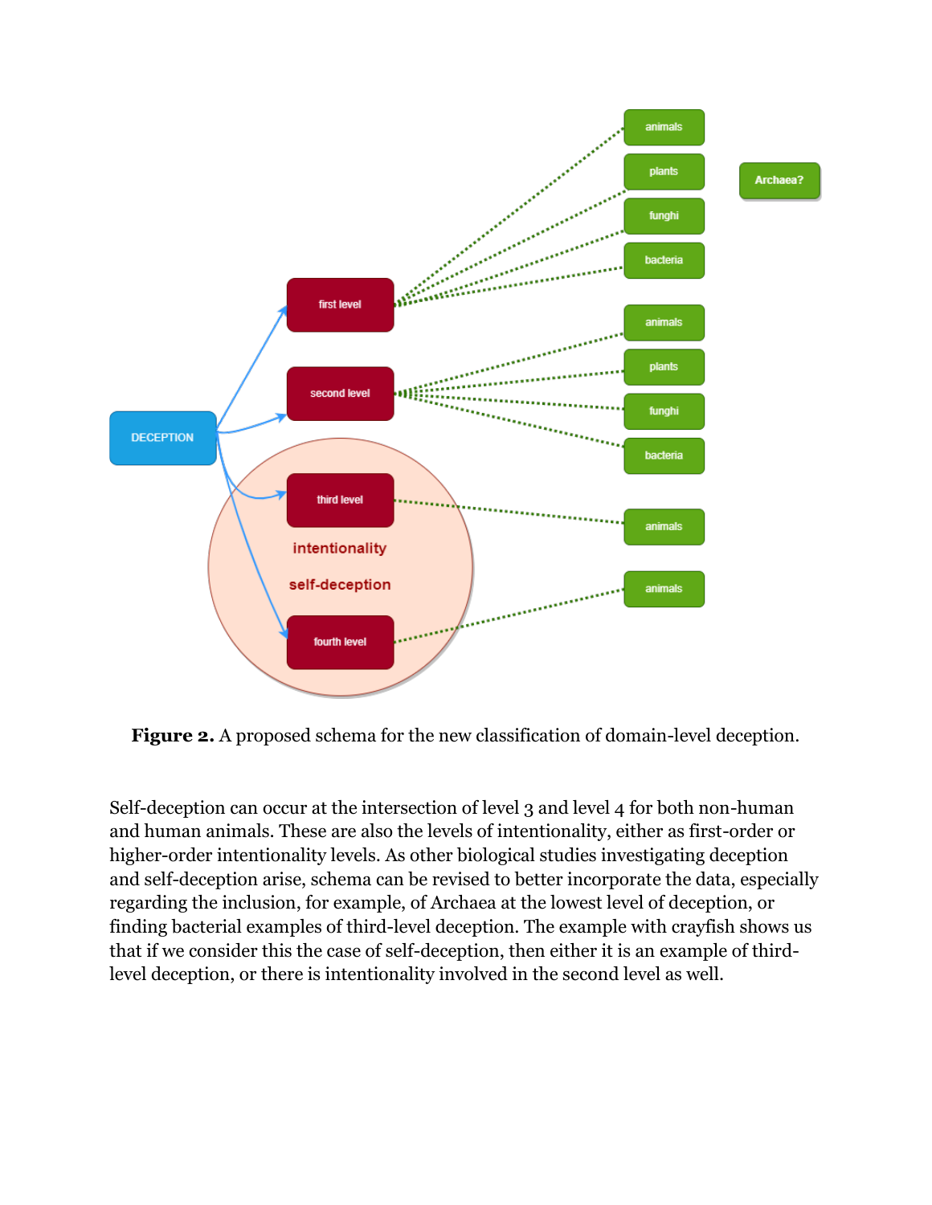

**Figure 2.** A proposed schema for the new classification of domain-level deception.

Self-deception can occur at the intersection of level 3 and level 4 for both non-human and human animals. These are also the levels of intentionality, either as first-order or higher-order intentionality levels. As other biological studies investigating deception and self-deception arise, schema can be revised to better incorporate the data, especially regarding the inclusion, for example, of Archaea at the lowest level of deception, or finding bacterial examples of third-level deception. The example with crayfish shows us that if we consider this the case of self-deception, then either it is an example of thirdlevel deception, or there is intentionality involved in the second level as well.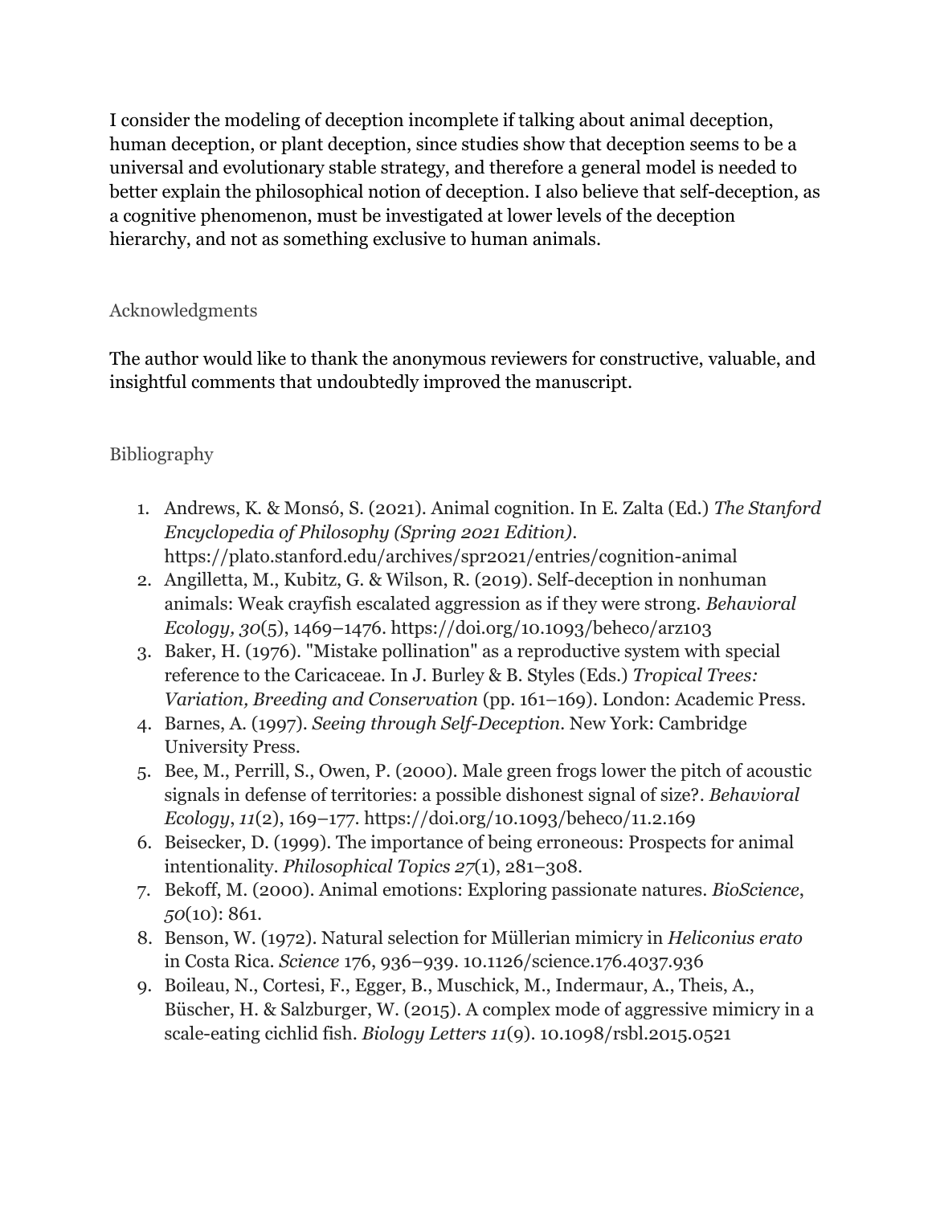I consider the modeling of deception incomplete if talking about animal deception, human deception, or plant deception, since studies show that deception seems to be a universal and evolutionary stable strategy, and therefore a general model is needed to better explain the philosophical notion of deception. I also believe that self-deception, as a cognitive phenomenon, must be investigated at lower levels of the deception hierarchy, and not as something exclusive to human animals.

## Acknowledgments

The author would like to thank the anonymous reviewers for constructive, valuable, and insightful comments that undoubtedly improved the manuscript.

## Bibliography

- 1. Andrews, K. & Monsó, S. (2021). Animal cognition. In E. Zalta (Ed.) *The Stanford Encyclopedia of Philosophy (Spring 2021 Edition)*. <https://plato.stanford.edu/archives/spr2021/entries/cognition-animal>
- 2. Angilletta, M., Kubitz, G. & Wilson, R. (2019). Self-deception in nonhuman animals: Weak crayfish escalated aggression as if they were strong. *Behavioral Ecology, 30*(5), 1469–1476. https://doi.org/10.1093/beheco/arz103
- 3. Baker, H. (1976). "Mistake pollination" as a reproductive system with special reference to the Caricaceae. In J. Burley & B. Styles (Eds.) *Tropical Trees: Variation, Breeding and Conservation* (pp. 161–169). London: Academic Press.
- 4. Barnes, A. (1997). *Seeing through Self-Deception.* New York: Cambridge University Press.
- 5. Bee, M., Perrill, S., Owen, P. (2000). Male green frogs lower the pitch of acoustic signals in defense of territories: a possible dishonest signal of size?. *Behavioral Ecology*, *11*(2), 169–177. https://doi.org/10.1093/beheco/11.2.169
- 6. Beisecker, D. (1999). The importance of being erroneous: Prospects for animal intentionality. *Philosophical Topics 27*(1), 281–308.
- 7. Bekoff, M. (2000). Animal emotions: Exploring passionate natures. *BioScience*, *50*(10): 861.
- 8. Benson, W. (1972). Natural selection for Müllerian mimicry in *Heliconius erato* in Costa Rica. *Science* 176, 936–939. 10.1126/science.176.4037.936
- 9. Boileau, N., Cortesi, F., Egger, B., Muschick, M., Indermaur, A., Theis, A., Büscher, H. & Salzburger, W. (2015). A complex mode of aggressive mimicry in a scale-eating cichlid fish. *Biology Letters 11*(9). [10.1098/rsbl.2015.0521](http://dx.doi.org/10.1098/rsbl.2015.0521)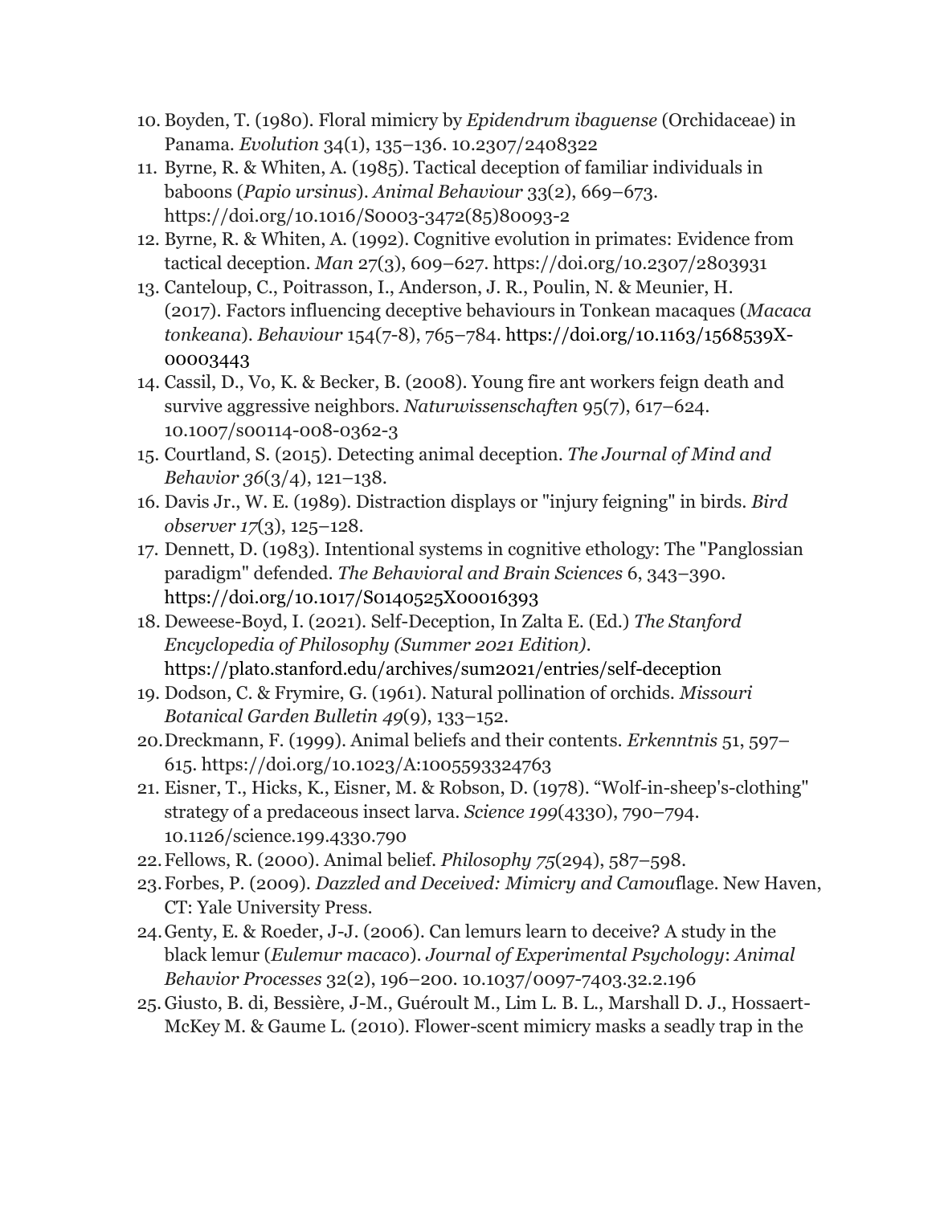- 10. Boyden, T. (1980). Floral mimicry by *Epidendrum ibaguense* (Orchidaceae) in Panama. *Evolution* 34(1), 135–136. 10.2307/2408322
- 11. Byrne, R. & Whiten, A. (1985). Tactical deception of familiar individuals in baboons (*Papio ursinus*). *Animal Behaviour* 33(2), 669–673. [https://doi.org/10.1016/S0003-3472\(85\)80093-2](https://doi.org/10.1016/S0003-3472(85)80093-2)
- 12. Byrne, R. & Whiten, A. (1992). Cognitive evolution in primates: Evidence from tactical deception. *Man* 27(3), 609–627.<https://doi.org/10.2307/2803931>
- 13. Canteloup, C., Poitrasson, I., Anderson, J. R., Poulin, N. & Meunier, H. (2017). Factors influencing deceptive behaviours in Tonkean macaques (*Macaca tonkeana*). *Behaviour* 154(7-8), 765–784. [https://doi.org/10.1163/1568539X-](https://doi.org/10.1163/1568539X-00003443)[00003443](https://doi.org/10.1163/1568539X-00003443)
- 14. Cassil, D., Vo, K. & Becker, B. (2008). Young fire ant workers feign death and survive aggressive neighbors. *Naturwissenschaften* 95(7), 617–624. 10.1007/s00114-008-0362-3
- 15. Courtland, S. (2015). Detecting animal deception. *The Journal of Mind and Behavior 36*(3/4), 121–138.
- 16. Davis Jr., W. E. (1989). Distraction displays or "injury feigning" in birds. *Bird observer 17*(3), 125–128.
- 17. Dennett, D. (1983). Intentional systems in cognitive ethology: The "Panglossian paradigm" defended. *The Behavioral and Brain Sciences* 6, 343–390. <https://doi.org/10.1017/S0140525X00016393>
- 18. Deweese-Boyd, I. (2021). Self-Deception, In Zalta E. (Ed.) *The Stanford Encyclopedia of Philosophy (Summer 2021 Edition).*  <https://plato.stanford.edu/archives/sum2021/entries/self-deception>
- 19. Dodson, C. & Frymire, G. (1961). Natural pollination of orchids. *Missouri Botanical Garden Bulletin 49*(9), 133–152.
- 20.Dreckmann, F. (1999). Animal beliefs and their contents. *Erkenntnis* 51, 597– 615.<https://doi.org/10.1023/A:1005593324763>
- 21. Eisner, T., Hicks, K., Eisner, M. & Robson, D. (1978). "Wolf-in-sheep's-clothing" strategy of a predaceous insect larva. *Science 199*(4330), 790–794. [10.1126/science.199.4330.790](https://doi.org/10.1126/science.199.4330.790)
- 22.Fellows, R. (2000). Animal belief. *Philosophy 75*(294), 587–598.
- 23.Forbes, P. (2009). *Dazzled and Deceived: Mimicry and Camou*flage. New Haven, CT: Yale University Press.
- 24.Genty, E. & Roeder, J-J. (2006). Can lemurs learn to deceive? A study in the black lemur (*Eulemur macaco*). *Journal of Experimental Psychology*: *Animal Behavior Processes* 32(2), 196–200. 10.1037/0097-7403.32.2.196
- 25.Giusto, B. di, Bessière, J-M., Guéroult M., Lim L. B. L., Marshall D. J., Hossaert-McKey M. & Gaume L. (2010). Flower-scent mimicry masks a seadly trap in the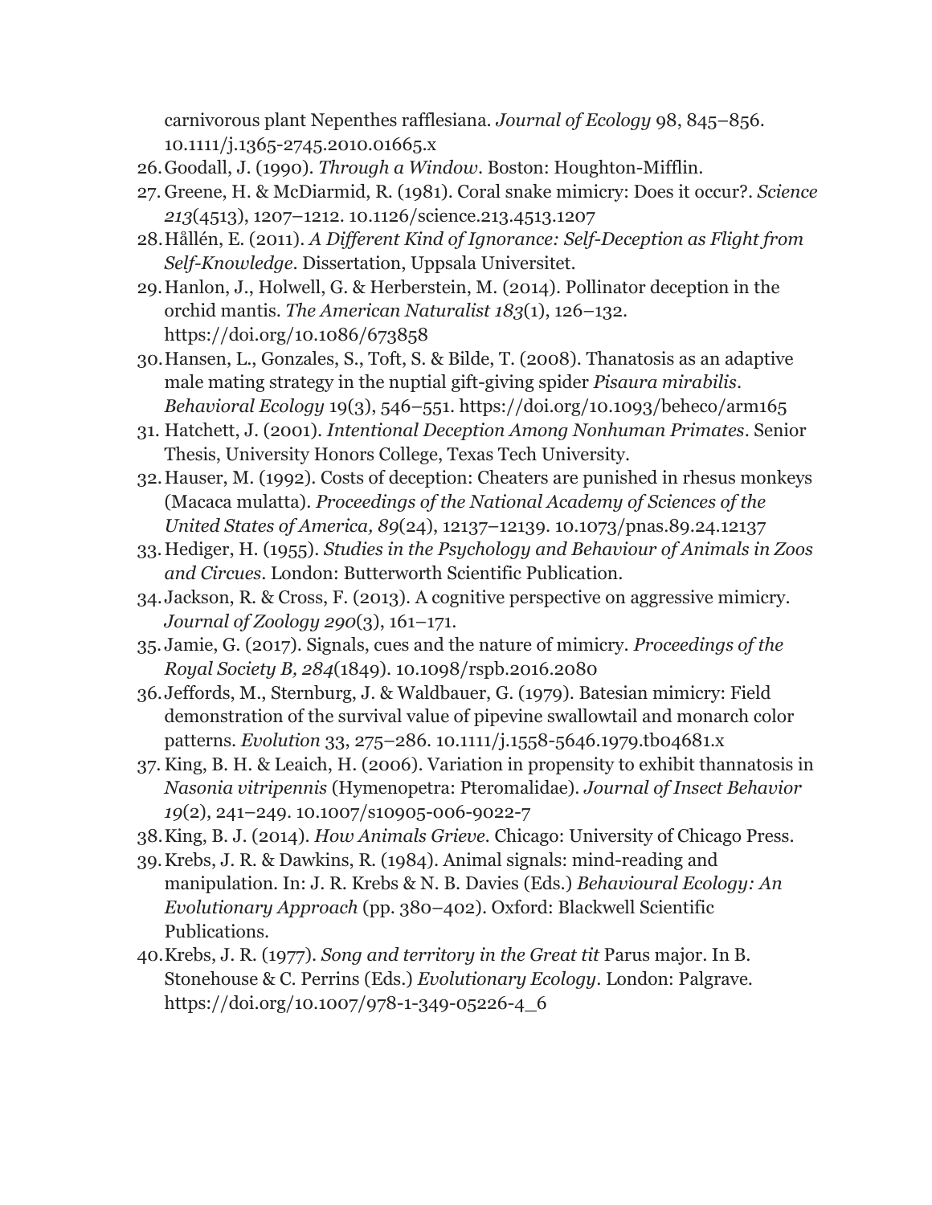carnivorous plant Nepenthes rafflesiana. *Journal of Ecology* 98, 845–856. [10.1111/j.1365-2745.2010.01665.x](http://dx.doi.org/10.1111/j.1365-2745.2010.01665.x)

- 26.Goodall, J. (1990). *Through a Window*. Boston: Houghton-Mifflin.
- 27. Greene, H. & McDiarmid, R. (1981). Coral snake mimicry: Does it occur?. *Science 213*(4513), 1207–1212. [10.1126/science.213.4513.1207](https://doi.org/10.1126/science.213.4513.1207)
- 28.Hållén, E. (2011). *A Different Kind of Ignorance: Self-Deception as Flight from Self-Knowledge*. Dissertation, Uppsala Universitet.
- 29.Hanlon, J., Holwell, G. & Herberstein, M. (2014). Pollinator deception in the orchid mantis. *The American Naturalist 183*(1), 126–132. https://doi.org/10.1086/673858
- 30.Hansen, L., Gonzales, S., Toft, S. & Bilde, T. (2008). Thanatosis as an adaptive male mating strategy in the nuptial gift-giving spider *Pisaura mirabilis*. *Behavioral Ecology* 19(3), 546–551.<https://doi.org/10.1093/beheco/arm165>
- 31. Hatchett, J. (2001). *Intentional Deception Among Nonhuman Primates*. Senior Thesis, University Honors College, Texas Tech University.
- 32.Hauser, M. (1992). Costs of deception: Cheaters are punished in rhesus monkeys (Macaca mulatta). *Proceedings of the National Academy of Sciences of the United States of America, 89*(24), 12137–12139. 10.1073/pnas.89.24.12137
- 33.Hediger, H. (1955). *Studies in the Psychology and Behaviour of Animals in Zoos and Circues*. London: Butterworth Scientific Publication.
- 34.Jackson, R. & Cross, F. (2013). A cognitive perspective on aggressive mimicry. *Journal of Zoology 290*(3), 161–171.
- 35. Jamie, G. (2017). Signals, cues and the nature of mimicry. *Proceedings of the Royal Society B, 284*(1849). 10.1098/rspb.2016.2080
- 36.Jeffords, M., Sternburg, J. & Waldbauer, G. (1979). Batesian mimicry: Field demonstration of the survival value of pipevine swallowtail and monarch color patterns. *Evolution* 33, 275–286. [10.1111/j.1558-5646.1979.tb04681.x](https://doi.org/10.1111/j.1558-5646.1979.tb04681.x)
- 37. King, B. H. & Leaich, H. (2006). Variation in propensity to exhibit thannatosis in *Nasonia vitripennis* (Hymenopetra: Pteromalidae). *Journal of Insect Behavior 19*(2), 241–249. 10.1007/s10905-006-9022-7
- 38.King, B. J. (2014). *How Animals Grieve.* Chicago: University of Chicago Press.
- 39.Krebs, J. R. & Dawkins, R. (1984). Animal signals: mind-reading and manipulation. In: J. R. Krebs & N. B. Davies (Eds.) *Behavioural Ecology: An Evolutionary Approach* (pp. 380–402). Oxford: Blackwell Scientific Publications.
- 40.Krebs, J. R. (1977). *Song and territory in the Great tit* Parus major. In B. Stonehouse & C. Perrins (Eds.) *Evolutionary Ecology*. London: Palgrave. https://doi.org/10.1007/978-1-349-05226-4\_6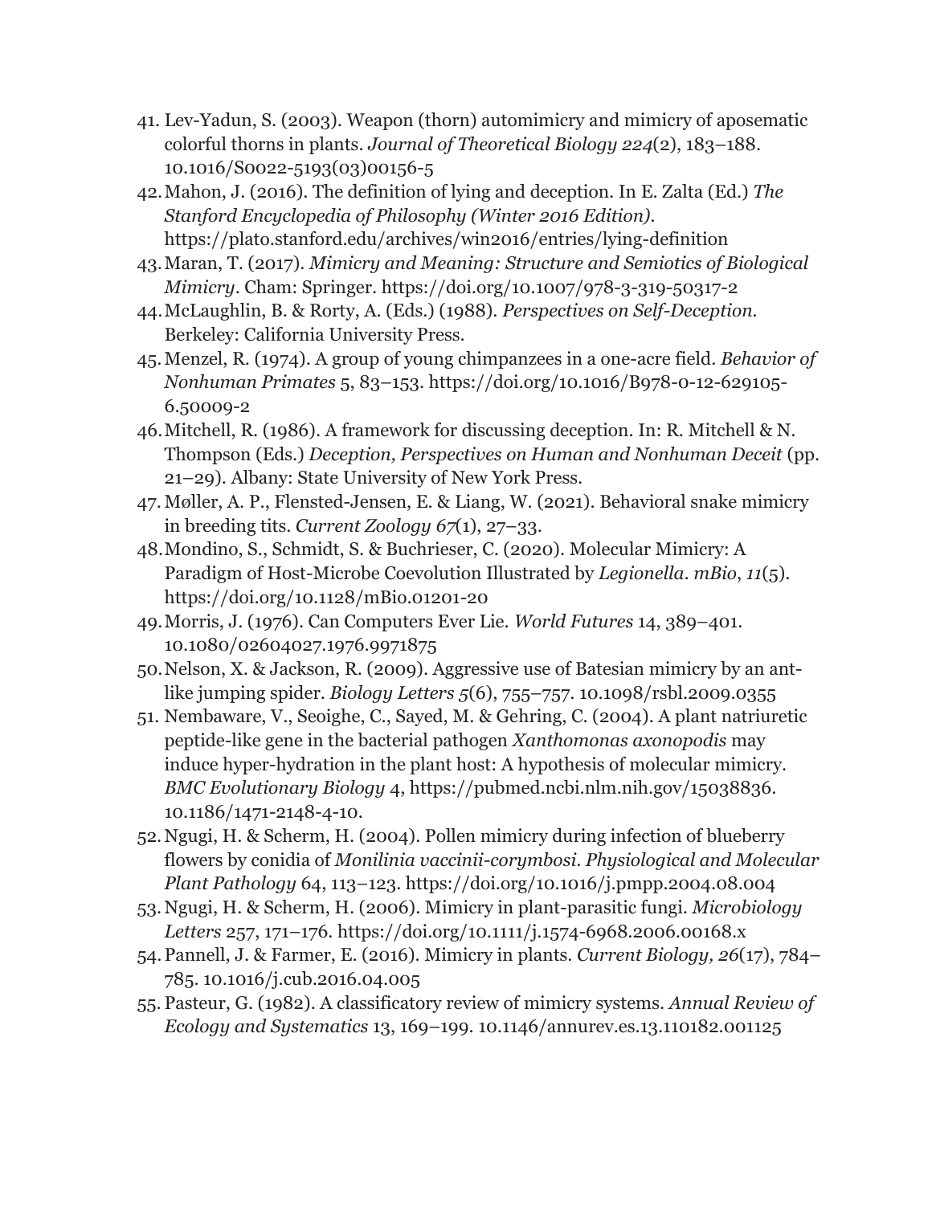- 41. Lev-Yadun, S. (2003). Weapon (thorn) automimicry and mimicry of aposematic colorful thorns in plants. *Journal of Theoretical Biology 224*(2), 183–188. [10.1016/S0022-5193\(03\)00156-5](https://doi.org/10.1016%2FS0022-5193(03)00156-5)
- 42.Mahon, J. (2016). The definition of lying and deception. In E. Zalta (Ed.) *The Stanford Encyclopedia of Philosophy (Winter 2016 Edition).* <https://plato.stanford.edu/archives/win2016/entries/lying-definition>
- 43.Maran, T. (2017). *Mimicry and Meaning: Structure and Semiotics of Biological Mimicry*. Cham: Springer.<https://doi.org/10.1007/978-3-319-50317-2>
- 44.McLaughlin, B. & Rorty, A. (Eds.) (1988). *Perspectives on Self-Deception.* Berkeley: California University Press.
- 45.Menzel, R. (1974). A group of young chimpanzees in a one-acre field. *Behavior of Nonhuman Primates* 5, 83–153. [https://doi.org/10.1016/B978-0-12-629105-](https://doi.org/10.1016/B978-0-12-629105-6.50009-2) [6.50009-2](https://doi.org/10.1016/B978-0-12-629105-6.50009-2)
- 46.Mitchell, R. (1986). A framework for discussing deception. In: R. Mitchell & N. Thompson (Eds.) *Deception, Perspectives on Human and Nonhuman Deceit* (pp. 21–29). Albany: State University of New York Press.
- 47. Møller, A. P., Flensted-Jensen, E. & Liang, W. (2021). Behavioral snake mimicry in breeding tits. *Current Zoology 67*(1), 27–33.
- 48.Mondino, S., Schmidt, S. & Buchrieser, C. (2020). Molecular Mimicry: A Paradigm of Host-Microbe Coevolution Illustrated by *Legionella*. *mBio*, *11*(5). https://doi.org/10.1128/mBio.01201-20
- 49.Morris, J. (1976). Can Computers Ever Lie. *World Futures* 14, 389–401. [10.1080/02604027.1976.9971875](https://philpapers.org/go.pl?id=MORCCE&proxyId=&u=https%3A%2F%2Fdx.doi.org%2F10.1080%2F02604027.1976.9971875)
- 50.Nelson, X. & Jackson, R. (2009). Aggressive use of Batesian mimicry by an antlike jumping spider. *Biology Letters 5*(6), 755–757. [10.1098/rsbl.2009.0355](http://dx.doi.org/10.1098/rsbl.2009.0355)
- 51. Nembaware, V., Seoighe, C., Sayed, M. & Gehring, C. (2004). A plant natriuretic peptide-like gene in the bacterial pathogen *Xanthomonas axonopodis* may induce hyper-hydration in the plant host: A hypothesis of molecular mimicry. *BMC Evolutionary Biology* 4, https://pubmed.ncbi.nlm.nih.gov/15038836. 10.1186/1471-2148-4-10.
- 52.Ngugi, H. & Scherm, H. (2004). Pollen mimicry during infection of blueberry flowers by conidia of *Monilinia vaccinii-corymbosi*. *Physiological and Molecular Plant Pathology* 64, 113–123.<https://doi.org/10.1016/j.pmpp.2004.08.004>
- 53.Ngugi, H. & Scherm, H. (2006). Mimicry in plant-parasitic fungi. *Microbiology Letters* 257, 171–176.<https://doi.org/10.1111/j.1574-6968.2006.00168.x>
- 54.Pannell, J. & Farmer, E. (2016). Mimicry in plants. *Current Biology, 26*(17), 784– 785. [10.1016/j.cub.2016.04.005](https://doi.org/10.1016%2Fj.cub.2016.04.005)
- 55. Pasteur, G. (1982). A classificatory review of mimicry systems. *Annual Review of Ecology and Systematics* 13, 169–199. 10.1146/annurev.es.13.110182.001125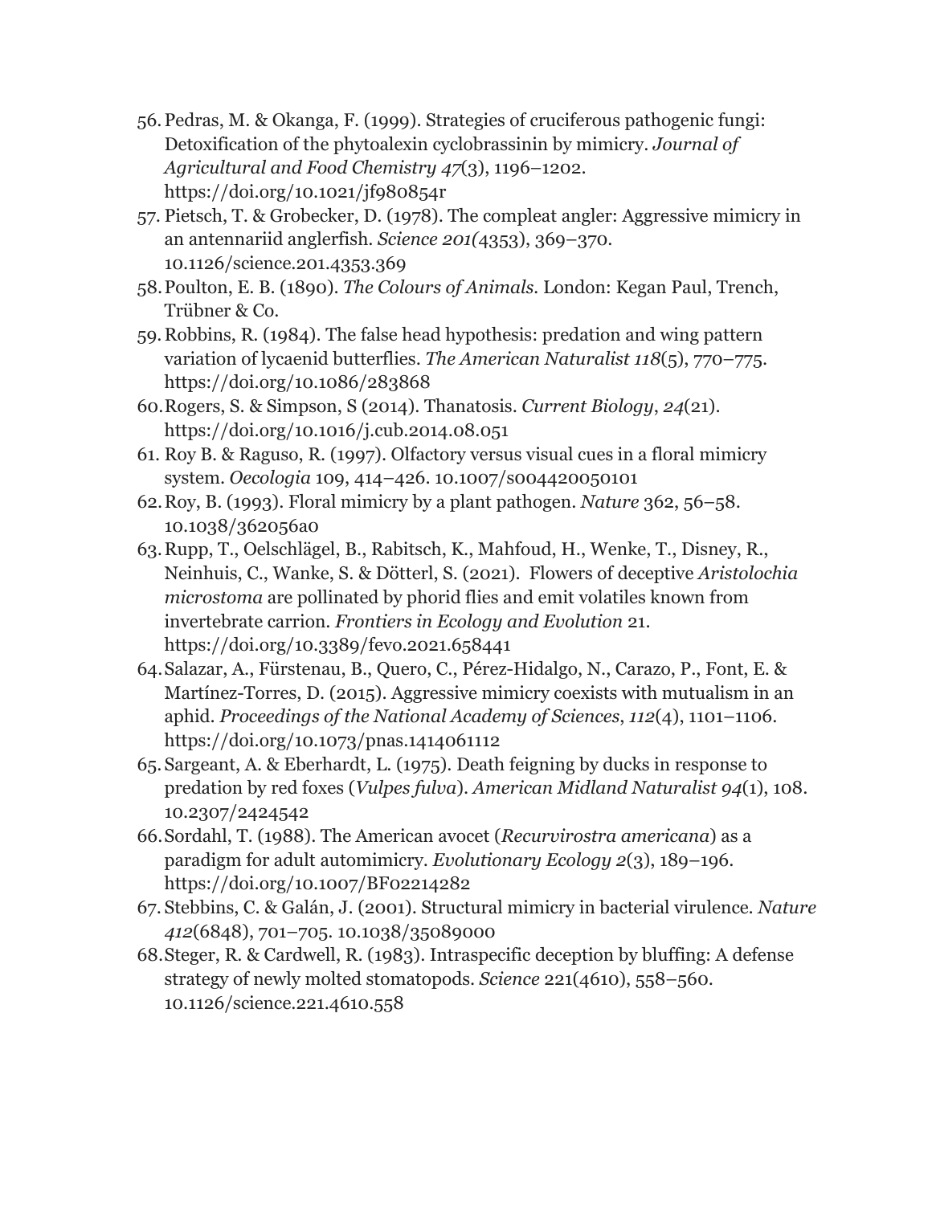- 56.Pedras, M. & Okanga, F. (1999). Strategies of cruciferous pathogenic fungi: Detoxification of the phytoalexin cyclobrassinin by mimicry. *Journal of Agricultural and Food Chemistry 47*(3), 1196–1202. <https://doi.org/10.1021/jf980854r>
- 57. Pietsch, T. & Grobecker, D. (1978). The compleat angler: Aggressive mimicry in an antennariid anglerfish. *Science 201(*4353), 369–370. 10.1126/science.201.4353.369
- 58.Poulton, E. B. (1890). *The Colours of Animals.* London: Kegan Paul, Trench, Trübner & Co.
- 59.Robbins, R. (1984). The false head hypothesis: predation and wing pattern variation of lycaenid butterflies. *The American Naturalist 118*(5), 770–775. <https://doi.org/10.1086/283868>
- 60.Rogers, S. & Simpson, S (2014). Thanatosis. *Current Biology*, *24*(21). <https://doi.org/10.1016/j.cub.2014.08.051>
- 61. Roy B. & Raguso, R. (1997). Olfactory versus visual cues in a floral mimicry system. *Oecologia* 109, 414–426. 10.1007/s004420050101
- 62.Roy, B. (1993). Floral mimicry by a plant pathogen. *Nature* 362, 56–58. [10.1038/362056a0](https://ui.adsabs.harvard.edu/link_gateway/1993Natur.362...56R/doi:10.1038/362056a0)
- 63.Rupp, T., Oelschlägel, B., Rabitsch, K., Mahfoud, H., Wenke, T., Disney, R., Neinhuis, C., Wanke, S. & Dötterl, S. (2021). Flowers of deceptive *Aristolochia microstoma* are pollinated by phorid flies and emit volatiles known from invertebrate carrion. *Frontiers in Ecology and Evolution* 21. https://doi.org/10.3389/fevo.2021.658441
- 64.Salazar, A., Fürstenau, B., Quero, C., Pérez-Hidalgo, N., Carazo, P., Font, E. & Martínez-Torres, D. (2015). Aggressive mimicry coexists with mutualism in an aphid. *Proceedings of the National Academy of Sciences*, *112*(4), 1101–1106. <https://doi.org/10.1073/pnas.1414061112>
- 65.Sargeant, A. & Eberhardt, L. (1975). Death feigning by ducks in response to predation by red foxes (*Vulpes fulva*). *American Midland Naturalist 94*(1), 108. 10.2307/2424542
- 66.Sordahl, T. (1988). The American avocet (*Recurvirostra americana*) as a paradigm for adult automimicry. *Evolutionary Ecology 2*(3), 189–196. <https://doi.org/10.1007/BF02214282>
- 67. Stebbins, C. & Galán, J. (2001). Structural mimicry in bacterial virulence. *Nature 412*(6848), 701–705. [10.1038/35089000](https://doi.org/10.1038/35089000)
- 68.Steger, R. & Cardwell, R. (1983). Intraspecific deception by bluffing: A defense strategy of newly molted stomatopods. *Science* 221(4610), 558–560. [10.1126/science.221.4610.558](https://doi.org/10.1126/science.221.4610.558)